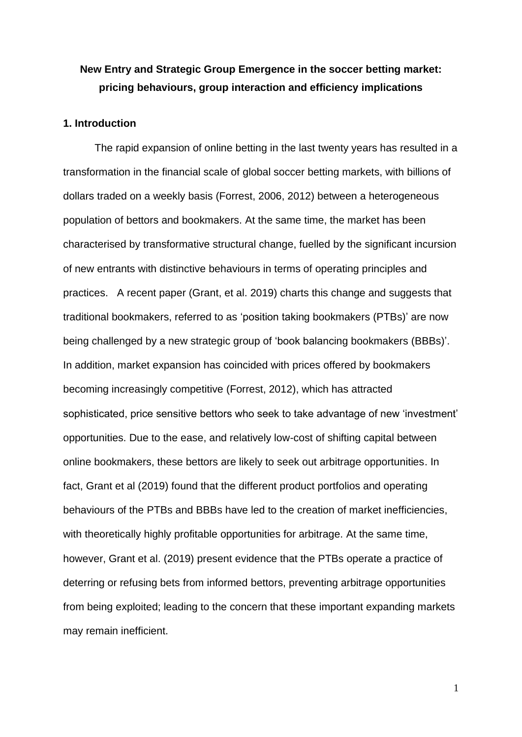# **New Entry and Strategic Group Emergence in the soccer betting market: pricing behaviours, group interaction and efficiency implications**

# **1. Introduction**

The rapid expansion of online betting in the last twenty years has resulted in a transformation in the financial scale of global soccer betting markets, with billions of dollars traded on a weekly basis (Forrest, 2006, 2012) between a heterogeneous population of bettors and bookmakers. At the same time, the market has been characterised by transformative structural change, fuelled by the significant incursion of new entrants with distinctive behaviours in terms of operating principles and practices. A recent paper (Grant, et al. 2019) charts this change and suggests that traditional bookmakers, referred to as 'position taking bookmakers (PTBs)' are now being challenged by a new strategic group of 'book balancing bookmakers (BBBs)'. In addition, market expansion has coincided with prices offered by bookmakers becoming increasingly competitive (Forrest, 2012), which has attracted sophisticated, price sensitive bettors who seek to take advantage of new 'investment' opportunities. Due to the ease, and relatively low-cost of shifting capital between online bookmakers, these bettors are likely to seek out arbitrage opportunities. In fact, Grant et al (2019) found that the different product portfolios and operating behaviours of the PTBs and BBBs have led to the creation of market inefficiencies, with theoretically highly profitable opportunities for arbitrage. At the same time, however, Grant et al. (2019) present evidence that the PTBs operate a practice of deterring or refusing bets from informed bettors, preventing arbitrage opportunities from being exploited; leading to the concern that these important expanding markets may remain inefficient.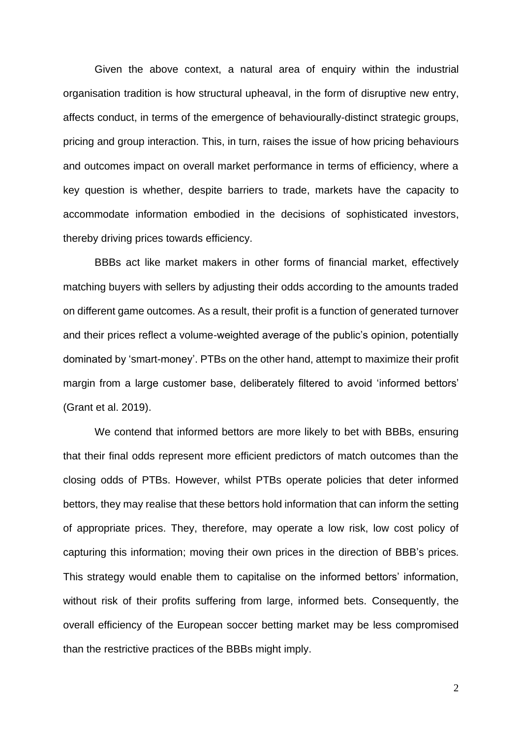Given the above context, a natural area of enquiry within the industrial organisation tradition is how structural upheaval, in the form of disruptive new entry, affects conduct, in terms of the emergence of behaviourally-distinct strategic groups, pricing and group interaction. This, in turn, raises the issue of how pricing behaviours and outcomes impact on overall market performance in terms of efficiency, where a key question is whether, despite barriers to trade, markets have the capacity to accommodate information embodied in the decisions of sophisticated investors, thereby driving prices towards efficiency.

BBBs act like market makers in other forms of financial market, effectively matching buyers with sellers by adjusting their odds according to the amounts traded on different game outcomes. As a result, their profit is a function of generated turnover and their prices reflect a volume-weighted average of the public's opinion, potentially dominated by 'smart-money'. PTBs on the other hand, attempt to maximize their profit margin from a large customer base, deliberately filtered to avoid 'informed bettors' (Grant et al. 2019).

We contend that informed bettors are more likely to bet with BBBs, ensuring that their final odds represent more efficient predictors of match outcomes than the closing odds of PTBs. However, whilst PTBs operate policies that deter informed bettors, they may realise that these bettors hold information that can inform the setting of appropriate prices. They, therefore, may operate a low risk, low cost policy of capturing this information; moving their own prices in the direction of BBB's prices. This strategy would enable them to capitalise on the informed bettors' information, without risk of their profits suffering from large, informed bets. Consequently, the overall efficiency of the European soccer betting market may be less compromised than the restrictive practices of the BBBs might imply.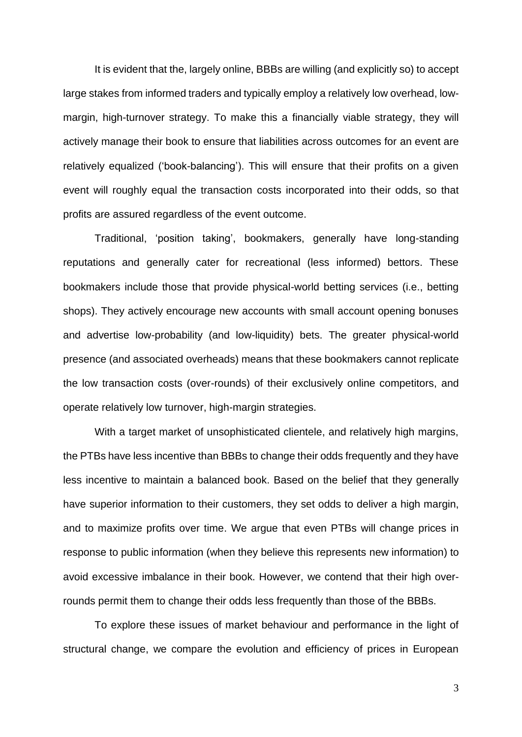It is evident that the, largely online, BBBs are willing (and explicitly so) to accept large stakes from informed traders and typically employ a relatively low overhead, lowmargin, high-turnover strategy. To make this a financially viable strategy, they will actively manage their book to ensure that liabilities across outcomes for an event are relatively equalized ('book-balancing'). This will ensure that their profits on a given event will roughly equal the transaction costs incorporated into their odds, so that profits are assured regardless of the event outcome.

Traditional, 'position taking', bookmakers, generally have long-standing reputations and generally cater for recreational (less informed) bettors. These bookmakers include those that provide physical-world betting services (i.e., betting shops). They actively encourage new accounts with small account opening bonuses and advertise low-probability (and low-liquidity) bets. The greater physical-world presence (and associated overheads) means that these bookmakers cannot replicate the low transaction costs (over-rounds) of their exclusively online competitors, and operate relatively low turnover, high-margin strategies.

With a target market of unsophisticated clientele, and relatively high margins, the PTBs have less incentive than BBBs to change their odds frequently and they have less incentive to maintain a balanced book. Based on the belief that they generally have superior information to their customers, they set odds to deliver a high margin, and to maximize profits over time. We argue that even PTBs will change prices in response to public information (when they believe this represents new information) to avoid excessive imbalance in their book. However, we contend that their high overrounds permit them to change their odds less frequently than those of the BBBs.

To explore these issues of market behaviour and performance in the light of structural change, we compare the evolution and efficiency of prices in European

3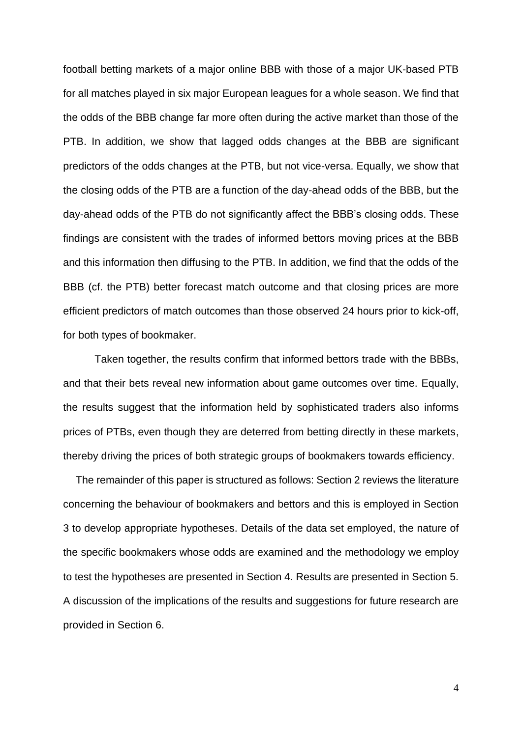football betting markets of a major online BBB with those of a major UK-based PTB for all matches played in six major European leagues for a whole season. We find that the odds of the BBB change far more often during the active market than those of the PTB. In addition, we show that lagged odds changes at the BBB are significant predictors of the odds changes at the PTB, but not vice-versa. Equally, we show that the closing odds of the PTB are a function of the day-ahead odds of the BBB, but the day-ahead odds of the PTB do not significantly affect the BBB's closing odds. These findings are consistent with the trades of informed bettors moving prices at the BBB and this information then diffusing to the PTB. In addition, we find that the odds of the BBB (cf. the PTB) better forecast match outcome and that closing prices are more efficient predictors of match outcomes than those observed 24 hours prior to kick-off, for both types of bookmaker.

Taken together, the results confirm that informed bettors trade with the BBBs, and that their bets reveal new information about game outcomes over time. Equally, the results suggest that the information held by sophisticated traders also informs prices of PTBs, even though they are deterred from betting directly in these markets, thereby driving the prices of both strategic groups of bookmakers towards efficiency.

The remainder of this paper is structured as follows: Section 2 reviews the literature concerning the behaviour of bookmakers and bettors and this is employed in Section 3 to develop appropriate hypotheses. Details of the data set employed, the nature of the specific bookmakers whose odds are examined and the methodology we employ to test the hypotheses are presented in Section 4. Results are presented in Section 5. A discussion of the implications of the results and suggestions for future research are provided in Section 6.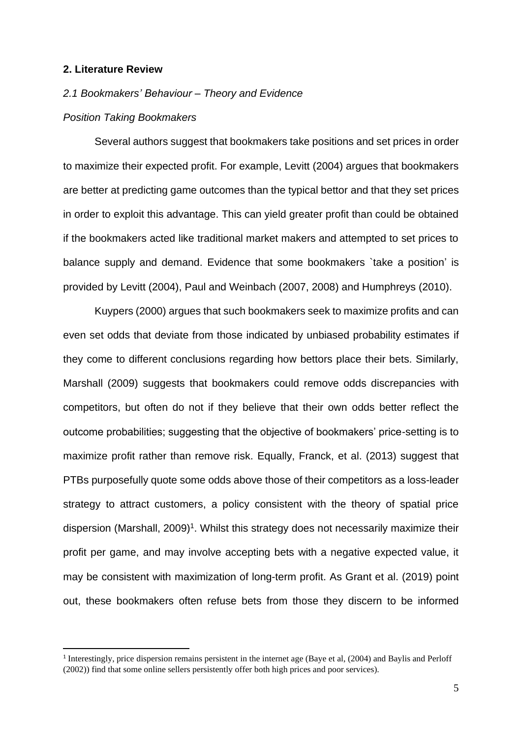#### **2. Literature Review**

#### *2.1 Bookmakers' Behaviour – Theory and Evidence*

#### *Position Taking Bookmakers*

Several authors suggest that bookmakers take positions and set prices in order to maximize their expected profit. For example, Levitt (2004) argues that bookmakers are better at predicting game outcomes than the typical bettor and that they set prices in order to exploit this advantage. This can yield greater profit than could be obtained if the bookmakers acted like traditional market makers and attempted to set prices to balance supply and demand. Evidence that some bookmakers `take a position' is provided by Levitt (2004), Paul and Weinbach (2007, 2008) and Humphreys (2010).

Kuypers (2000) argues that such bookmakers seek to maximize profits and can even set odds that deviate from those indicated by unbiased probability estimates if they come to different conclusions regarding how bettors place their bets. Similarly, Marshall (2009) suggests that bookmakers could remove odds discrepancies with competitors, but often do not if they believe that their own odds better reflect the outcome probabilities; suggesting that the objective of bookmakers' price-setting is to maximize profit rather than remove risk. Equally, Franck, et al. (2013) suggest that PTBs purposefully quote some odds above those of their competitors as a loss-leader strategy to attract customers, a policy consistent with the theory of spatial price dispersion (Marshall, 2009)<sup>1</sup>. Whilst this strategy does not necessarily maximize their profit per game, and may involve accepting bets with a negative expected value, it may be consistent with maximization of long-term profit. As Grant et al. (2019) point out, these bookmakers often refuse bets from those they discern to be informed

<sup>1</sup> Interestingly, price dispersion remains persistent in the internet age (Baye et al, (2004) and Baylis and Perloff (2002)) find that some online sellers persistently offer both high prices and poor services).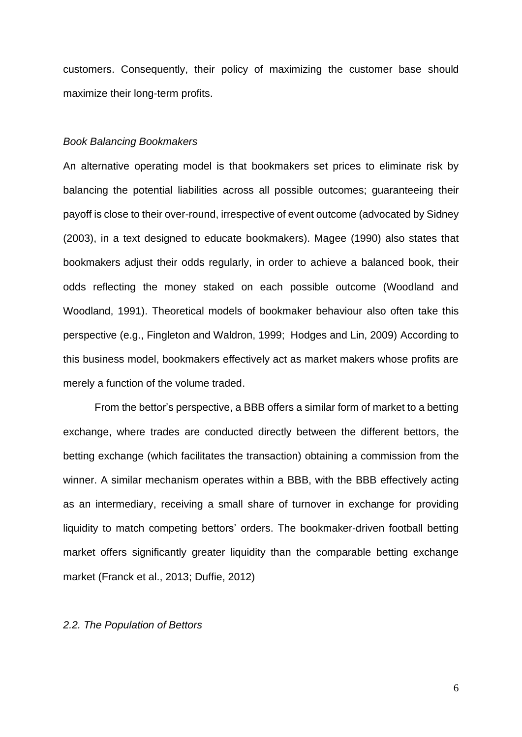customers. Consequently, their policy of maximizing the customer base should maximize their long-term profits.

# *Book Balancing Bookmakers*

An alternative operating model is that bookmakers set prices to eliminate risk by balancing the potential liabilities across all possible outcomes; guaranteeing their payoff is close to their over-round, irrespective of event outcome (advocated by Sidney (2003), in a text designed to educate bookmakers). Magee (1990) also states that bookmakers adjust their odds regularly, in order to achieve a balanced book, their odds reflecting the money staked on each possible outcome (Woodland and Woodland, 1991). Theoretical models of bookmaker behaviour also often take this perspective (e.g., Fingleton and Waldron, 1999; Hodges and Lin, 2009) According to this business model, bookmakers effectively act as market makers whose profits are merely a function of the volume traded.

From the bettor's perspective, a BBB offers a similar form of market to a betting exchange, where trades are conducted directly between the different bettors, the betting exchange (which facilitates the transaction) obtaining a commission from the winner. A similar mechanism operates within a BBB, with the BBB effectively acting as an intermediary, receiving a small share of turnover in exchange for providing liquidity to match competing bettors' orders. The bookmaker-driven football betting market offers significantly greater liquidity than the comparable betting exchange market (Franck et al., 2013; Duffie, 2012)

# *2.2. The Population of Bettors*

6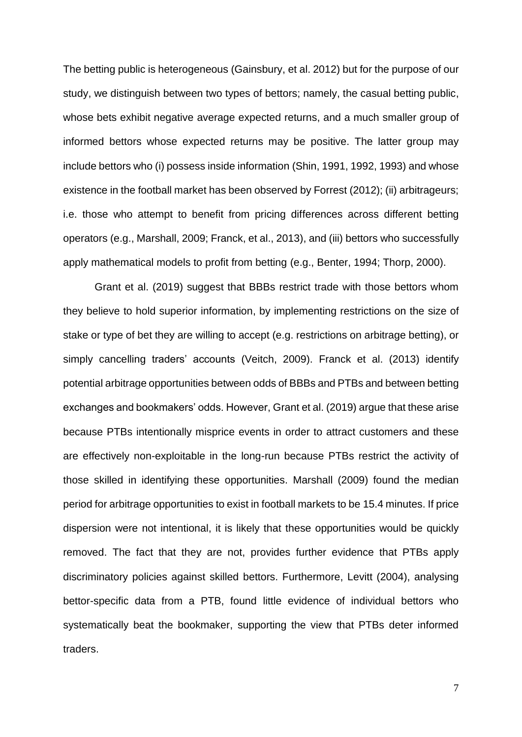The betting public is heterogeneous (Gainsbury, et al. 2012) but for the purpose of our study, we distinguish between two types of bettors; namely, the casual betting public, whose bets exhibit negative average expected returns, and a much smaller group of informed bettors whose expected returns may be positive. The latter group may include bettors who (i) possess inside information (Shin, 1991, 1992, 1993) and whose existence in the football market has been observed by Forrest (2012); (ii) arbitrageurs; i.e. those who attempt to benefit from pricing differences across different betting operators (e.g., Marshall, 2009; Franck, et al., 2013), and (iii) bettors who successfully apply mathematical models to profit from betting (e.g., Benter, 1994; Thorp, 2000).

Grant et al. (2019) suggest that BBBs restrict trade with those bettors whom they believe to hold superior information, by implementing restrictions on the size of stake or type of bet they are willing to accept (e.g. restrictions on arbitrage betting), or simply cancelling traders' accounts (Veitch, 2009). Franck et al. (2013) identify potential arbitrage opportunities between odds of BBBs and PTBs and between betting exchanges and bookmakers' odds. However, Grant et al. (2019) argue that these arise because PTBs intentionally misprice events in order to attract customers and these are effectively non-exploitable in the long-run because PTBs restrict the activity of those skilled in identifying these opportunities. Marshall (2009) found the median period for arbitrage opportunities to exist in football markets to be 15.4 minutes. If price dispersion were not intentional, it is likely that these opportunities would be quickly removed. The fact that they are not, provides further evidence that PTBs apply discriminatory policies against skilled bettors. Furthermore, Levitt (2004), analysing bettor-specific data from a PTB, found little evidence of individual bettors who systematically beat the bookmaker, supporting the view that PTBs deter informed traders.

7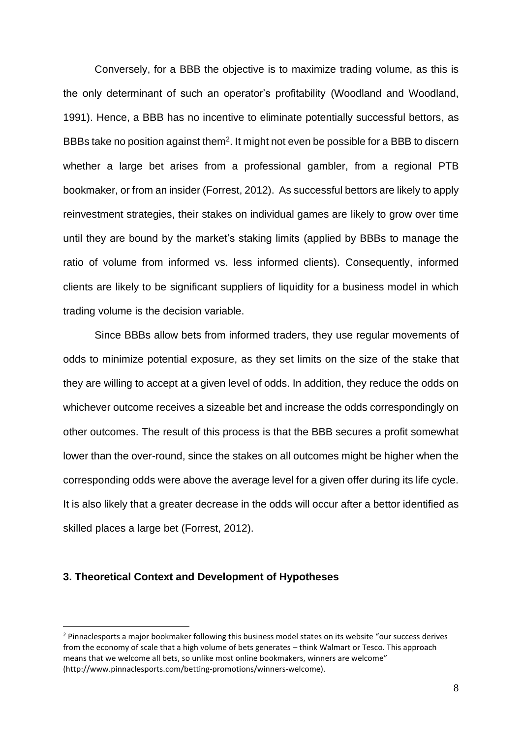Conversely, for a BBB the objective is to maximize trading volume, as this is the only determinant of such an operator's profitability (Woodland and Woodland, 1991). Hence, a BBB has no incentive to eliminate potentially successful bettors, as BBBs take no position against them<sup>2</sup>. It might not even be possible for a BBB to discern whether a large bet arises from a professional gambler, from a regional PTB bookmaker, or from an insider (Forrest, 2012). As successful bettors are likely to apply reinvestment strategies, their stakes on individual games are likely to grow over time until they are bound by the market's staking limits (applied by BBBs to manage the ratio of volume from informed vs. less informed clients). Consequently, informed clients are likely to be significant suppliers of liquidity for a business model in which trading volume is the decision variable.

Since BBBs allow bets from informed traders, they use regular movements of odds to minimize potential exposure, as they set limits on the size of the stake that they are willing to accept at a given level of odds. In addition, they reduce the odds on whichever outcome receives a sizeable bet and increase the odds correspondingly on other outcomes. The result of this process is that the BBB secures a profit somewhat lower than the over-round, since the stakes on all outcomes might be higher when the corresponding odds were above the average level for a given offer during its life cycle. It is also likely that a greater decrease in the odds will occur after a bettor identified as skilled places a large bet (Forrest, 2012).

#### **3. Theoretical Context and Development of Hypotheses**

<sup>&</sup>lt;sup>2</sup> Pinnaclesports a major bookmaker following this business model states on its website "our success derives from the economy of scale that a high volume of bets generates – think Walmart or Tesco. This approach means that we welcome all bets, so unlike most online bookmakers, winners are welcome" (http://www.pinnaclesports.com/betting-promotions/winners-welcome).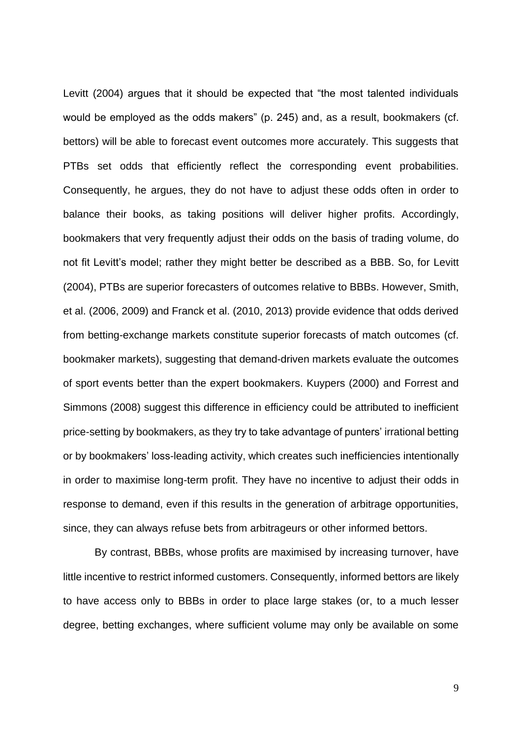Levitt (2004) argues that it should be expected that "the most talented individuals would be employed as the odds makers" (p. 245) and, as a result, bookmakers (cf. bettors) will be able to forecast event outcomes more accurately. This suggests that PTBs set odds that efficiently reflect the corresponding event probabilities. Consequently, he argues, they do not have to adjust these odds often in order to balance their books, as taking positions will deliver higher profits. Accordingly, bookmakers that very frequently adjust their odds on the basis of trading volume, do not fit Levitt's model; rather they might better be described as a BBB. So, for Levitt (2004), PTBs are superior forecasters of outcomes relative to BBBs. However, Smith, et al. (2006, 2009) and Franck et al. (2010, 2013) provide evidence that odds derived from betting-exchange markets constitute superior forecasts of match outcomes (cf. bookmaker markets), suggesting that demand-driven markets evaluate the outcomes of sport events better than the expert bookmakers. Kuypers (2000) and Forrest and Simmons (2008) suggest this difference in efficiency could be attributed to inefficient price-setting by bookmakers, as they try to take advantage of punters' irrational betting or by bookmakers' loss-leading activity, which creates such inefficiencies intentionally in order to maximise long-term profit. They have no incentive to adjust their odds in response to demand, even if this results in the generation of arbitrage opportunities, since, they can always refuse bets from arbitrageurs or other informed bettors.

By contrast, BBBs, whose profits are maximised by increasing turnover, have little incentive to restrict informed customers. Consequently, informed bettors are likely to have access only to BBBs in order to place large stakes (or, to a much lesser degree, betting exchanges, where sufficient volume may only be available on some

9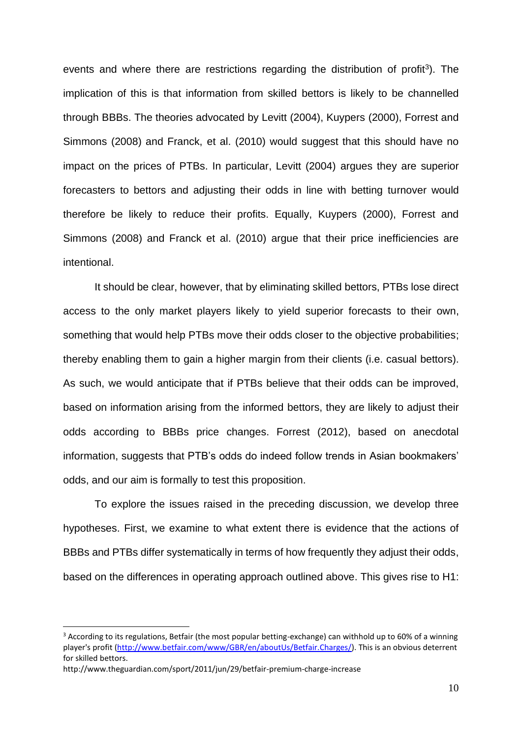events and where there are restrictions regarding the distribution of profit<sup>3</sup>). The implication of this is that information from skilled bettors is likely to be channelled through BBBs. The theories advocated by Levitt (2004), Kuypers (2000), Forrest and Simmons (2008) and Franck, et al. (2010) would suggest that this should have no impact on the prices of PTBs. In particular, Levitt (2004) argues they are superior forecasters to bettors and adjusting their odds in line with betting turnover would therefore be likely to reduce their profits. Equally, Kuypers (2000), Forrest and Simmons (2008) and Franck et al. (2010) argue that their price inefficiencies are intentional.

It should be clear, however, that by eliminating skilled bettors, PTBs lose direct access to the only market players likely to yield superior forecasts to their own, something that would help PTBs move their odds closer to the objective probabilities; thereby enabling them to gain a higher margin from their clients (i.e. casual bettors). As such, we would anticipate that if PTBs believe that their odds can be improved, based on information arising from the informed bettors, they are likely to adjust their odds according to BBBs price changes. Forrest (2012), based on anecdotal information, suggests that PTB's odds do indeed follow trends in Asian bookmakers' odds, and our aim is formally to test this proposition.

To explore the issues raised in the preceding discussion, we develop three hypotheses. First, we examine to what extent there is evidence that the actions of BBBs and PTBs differ systematically in terms of how frequently they adjust their odds, based on the differences in operating approach outlined above. This gives rise to H1:

<sup>&</sup>lt;sup>3</sup> According to its regulations, Betfair (the most popular betting-exchange) can withhold up to 60% of a winning player's profit [\(http://www.betfair.com/www/GBR/en/aboutUs/Betfair.Charges/\)](http://www.betfair.com/www/GBR/en/aboutUs/Betfair.Charges/). This is an obvious deterrent for skilled bettors.

http://www.theguardian.com/sport/2011/jun/29/betfair-premium-charge-increase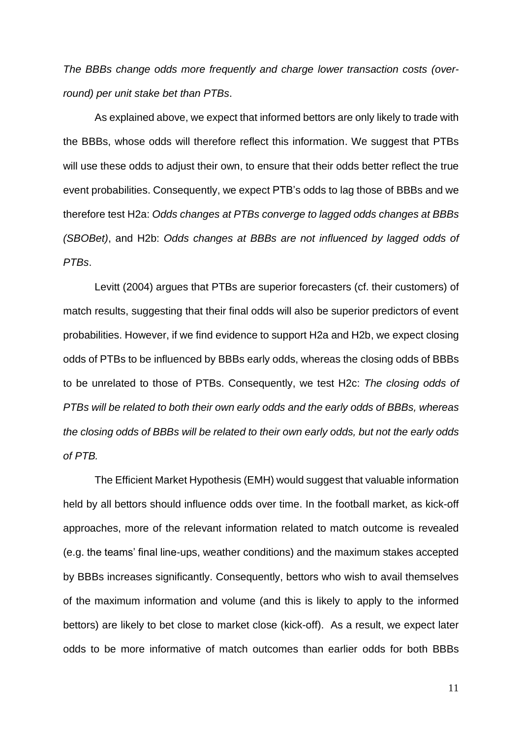*The BBBs change odds more frequently and charge lower transaction costs (overround) per unit stake bet than PTBs*.

As explained above, we expect that informed bettors are only likely to trade with the BBBs, whose odds will therefore reflect this information. We suggest that PTBs will use these odds to adjust their own, to ensure that their odds better reflect the true event probabilities. Consequently, we expect PTB's odds to lag those of BBBs and we therefore test H2a: *Odds changes at PTBs converge to lagged odds changes at BBBs (SBOBet)*, and H2b: *Odds changes at BBBs are not influenced by lagged odds of PTBs*.

Levitt (2004) argues that PTBs are superior forecasters (cf. their customers) of match results, suggesting that their final odds will also be superior predictors of event probabilities. However, if we find evidence to support H2a and H2b, we expect closing odds of PTBs to be influenced by BBBs early odds, whereas the closing odds of BBBs to be unrelated to those of PTBs. Consequently, we test H2c: *The closing odds of PTBs will be related to both their own early odds and the early odds of BBBs, whereas the closing odds of BBBs will be related to their own early odds, but not the early odds of PTB.*

The Efficient Market Hypothesis (EMH) would suggest that valuable information held by all bettors should influence odds over time. In the football market, as kick-off approaches, more of the relevant information related to match outcome is revealed (e.g. the teams' final line-ups, weather conditions) and the maximum stakes accepted by BBBs increases significantly. Consequently, bettors who wish to avail themselves of the maximum information and volume (and this is likely to apply to the informed bettors) are likely to bet close to market close (kick-off). As a result, we expect later odds to be more informative of match outcomes than earlier odds for both BBBs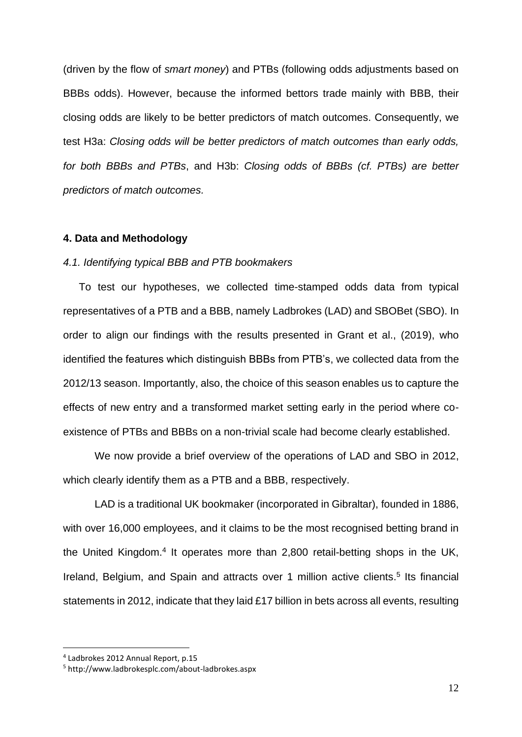(driven by the flow of *smart money*) and PTBs (following odds adjustments based on BBBs odds). However, because the informed bettors trade mainly with BBB, their closing odds are likely to be better predictors of match outcomes. Consequently, we test H3a: *Closing odds will be better predictors of match outcomes than early odds, for both BBBs and PTBs*, and H3b: *Closing odds of BBBs (cf. PTBs) are better predictors of match outcomes.*

#### **4. Data and Methodology**

# *4.1. Identifying typical BBB and PTB bookmakers*

To test our hypotheses, we collected time-stamped odds data from typical representatives of a PTB and a BBB, namely Ladbrokes (LAD) and SBOBet (SBO). In order to align our findings with the results presented in Grant et al., (2019), who identified the features which distinguish BBBs from PTB's, we collected data from the 2012/13 season. Importantly, also, the choice of this season enables us to capture the effects of new entry and a transformed market setting early in the period where coexistence of PTBs and BBBs on a non-trivial scale had become clearly established.

We now provide a brief overview of the operations of LAD and SBO in 2012, which clearly identify them as a PTB and a BBB, respectively.

LAD is a traditional UK bookmaker (incorporated in Gibraltar), founded in 1886, with over 16,000 employees, and it claims to be the most recognised betting brand in the United Kingdom.<sup>4</sup> It operates more than 2,800 retail-betting shops in the UK, Ireland, Belgium, and Spain and attracts over 1 million active clients.<sup>5</sup> Its financial statements in 2012, indicate that they laid £17 billion in bets across all events, resulting

<sup>4</sup> Ladbrokes 2012 Annual Report, p.15

<sup>5</sup> http://www.ladbrokesplc.com/about-ladbrokes.aspx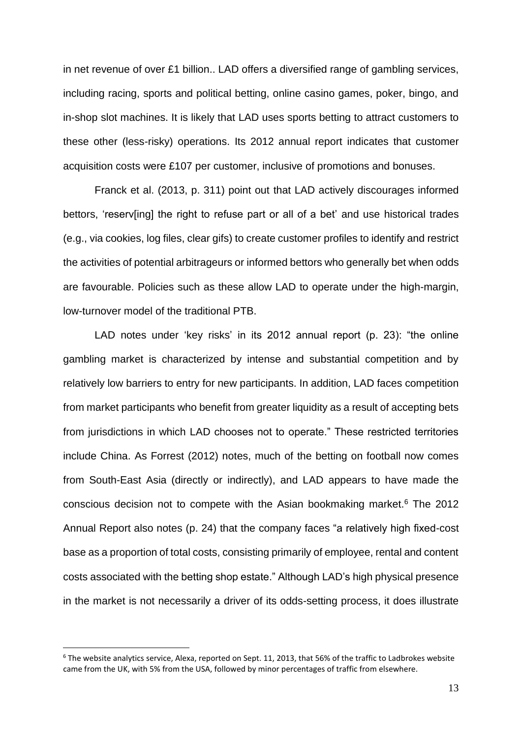in net revenue of over £1 billion.. LAD offers a diversified range of gambling services, including racing, sports and political betting, online casino games, poker, bingo, and in-shop slot machines. It is likely that LAD uses sports betting to attract customers to these other (less-risky) operations. Its 2012 annual report indicates that customer acquisition costs were £107 per customer, inclusive of promotions and bonuses.

Franck et al. (2013, p. 311) point out that LAD actively discourages informed bettors, 'reserv[ing] the right to refuse part or all of a bet' and use historical trades (e.g., via cookies, log files, clear gifs) to create customer profiles to identify and restrict the activities of potential arbitrageurs or informed bettors who generally bet when odds are favourable. Policies such as these allow LAD to operate under the high-margin, low-turnover model of the traditional PTB.

LAD notes under 'key risks' in its 2012 annual report (p. 23): "the online gambling market is characterized by intense and substantial competition and by relatively low barriers to entry for new participants. In addition, LAD faces competition from market participants who benefit from greater liquidity as a result of accepting bets from jurisdictions in which LAD chooses not to operate." These restricted territories include China. As Forrest (2012) notes, much of the betting on football now comes from South-East Asia (directly or indirectly), and LAD appears to have made the conscious decision not to compete with the Asian bookmaking market.<sup>6</sup> The 2012 Annual Report also notes (p. 24) that the company faces "a relatively high fixed-cost base as a proportion of total costs, consisting primarily of employee, rental and content costs associated with the betting shop estate." Although LAD's high physical presence in the market is not necessarily a driver of its odds-setting process, it does illustrate

 $6$  The website analytics service, Alexa, reported on Sept. 11, 2013, that 56% of the traffic to Ladbrokes website came from the UK, with 5% from the USA, followed by minor percentages of traffic from elsewhere.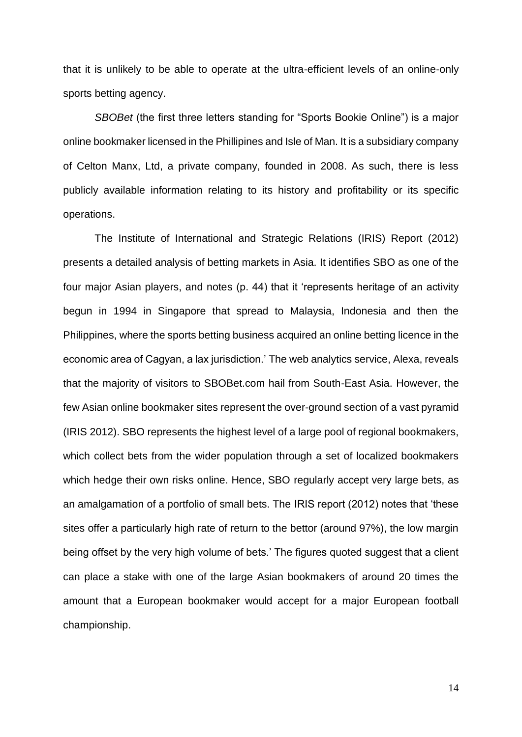that it is unlikely to be able to operate at the ultra-efficient levels of an online-only sports betting agency.

*SBOBet* (the first three letters standing for "Sports Bookie Online") is a major online bookmaker licensed in the Phillipines and Isle of Man. It is a subsidiary company of Celton Manx, Ltd, a private company, founded in 2008. As such, there is less publicly available information relating to its history and profitability or its specific operations.

The Institute of International and Strategic Relations (IRIS) Report (2012) presents a detailed analysis of betting markets in Asia. It identifies SBO as one of the four major Asian players, and notes (p. 44) that it 'represents heritage of an activity begun in 1994 in Singapore that spread to Malaysia, Indonesia and then the Philippines, where the sports betting business acquired an online betting licence in the economic area of Cagyan, a lax jurisdiction.' The web analytics service, Alexa, reveals that the majority of visitors to SBOBet.com hail from South-East Asia. However, the few Asian online bookmaker sites represent the over-ground section of a vast pyramid (IRIS 2012). SBO represents the highest level of a large pool of regional bookmakers, which collect bets from the wider population through a set of localized bookmakers which hedge their own risks online. Hence, SBO regularly accept very large bets, as an amalgamation of a portfolio of small bets. The IRIS report (2012) notes that 'these sites offer a particularly high rate of return to the bettor (around 97%), the low margin being offset by the very high volume of bets.' The figures quoted suggest that a client can place a stake with one of the large Asian bookmakers of around 20 times the amount that a European bookmaker would accept for a major European football championship.

14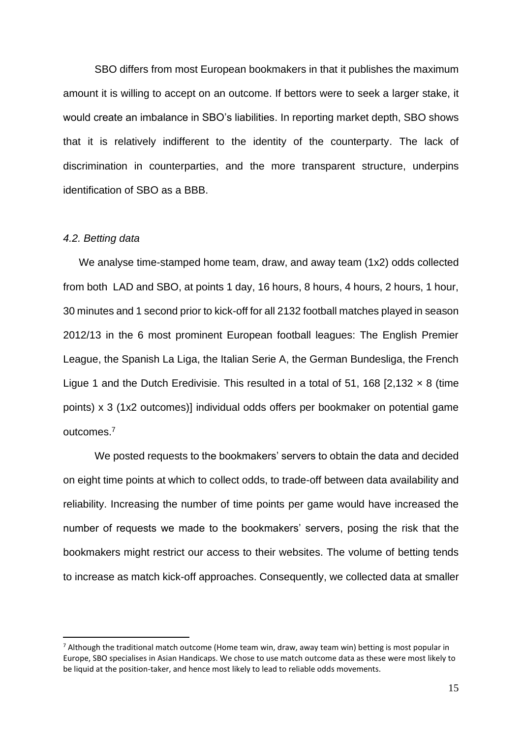SBO differs from most European bookmakers in that it publishes the maximum amount it is willing to accept on an outcome. If bettors were to seek a larger stake, it would create an imbalance in SBO's liabilities. In reporting market depth, SBO shows that it is relatively indifferent to the identity of the counterparty. The lack of discrimination in counterparties, and the more transparent structure, underpins identification of SBO as a BBB.

#### *4.2. Betting data*

We analyse time-stamped home team, draw, and away team (1x2) odds collected from both LAD and SBO, at points 1 day, 16 hours, 8 hours, 4 hours, 2 hours, 1 hour, 30 minutes and 1 second prior to kick-off for all 2132 football matches played in season 2012/13 in the 6 most prominent European football leagues: The English Premier League, the Spanish La Liga, the Italian Serie A, the German Bundesliga, the French Ligue 1 and the Dutch Eredivisie. This resulted in a total of 51, 168 [2,132  $\times$  8 (time points) x 3 (1x2 outcomes)] individual odds offers per bookmaker on potential game outcomes. 7

We posted requests to the bookmakers' servers to obtain the data and decided on eight time points at which to collect odds, to trade-off between data availability and reliability. Increasing the number of time points per game would have increased the number of requests we made to the bookmakers' servers, posing the risk that the bookmakers might restrict our access to their websites. The volume of betting tends to increase as match kick-off approaches. Consequently, we collected data at smaller

 $<sup>7</sup>$  Although the traditional match outcome (Home team win, draw, away team win) betting is most popular in</sup> Europe, SBO specialises in Asian Handicaps. We chose to use match outcome data as these were most likely to be liquid at the position-taker, and hence most likely to lead to reliable odds movements.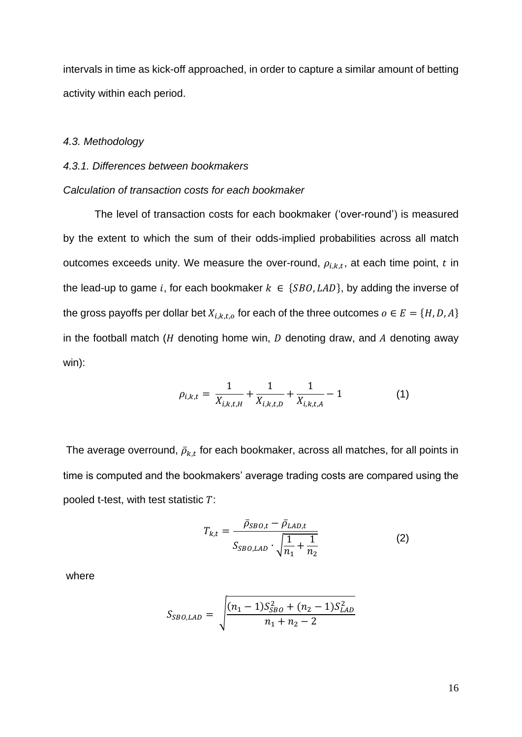intervals in time as kick-off approached, in order to capture a similar amount of betting activity within each period.

# *4.3. Methodology*

# *4.3.1. Differences between bookmakers*

# *Calculation of transaction costs for each bookmaker*

The level of transaction costs for each bookmaker ('over-round') is measured by the extent to which the sum of their odds-implied probabilities across all match outcomes exceeds unity. We measure the over-round,  $\rho_{i,k,t}$ , at each time point, t in the lead-up to game i, for each bookmaker  $k \in \{SBO, LAD\}$ , by adding the inverse of the gross payoffs per dollar bet  $X_{i,k,t,o}$  for each of the three outcomes  $o \in E = \{H, D, A\}$ in the football match ( $H$  denoting home win,  $D$  denoting draw, and  $A$  denoting away win):

$$
\rho_{i,k,t} = \frac{1}{X_{i,k,t,H}} + \frac{1}{X_{i,k,t,D}} + \frac{1}{X_{i,k,t,A}} - 1
$$
\n(1)

The average overround,  $\bar \rho_{k,t}$  for each bookmaker, across all matches, for all points in time is computed and the bookmakers' average trading costs are compared using the pooled t-test, with test statistic  $T$ :

$$
T_{k,t} = \frac{\bar{\rho}_{SBO,t} - \bar{\rho}_{LAD,t}}{S_{SBO,LAD} \cdot \sqrt{\frac{1}{n_1} + \frac{1}{n_2}}}
$$
(2)

where

$$
S_{SBO,LAD} = \sqrt{\frac{(n_1 - 1)S_{SBO}^2 + (n_2 - 1)S_{LAD}^2}{n_1 + n_2 - 2}}
$$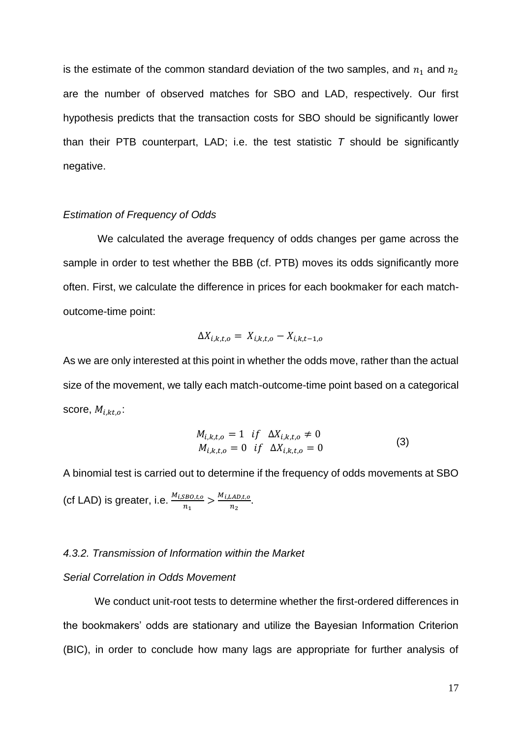is the estimate of the common standard deviation of the two samples, and  $n_1$  and  $n_2$ are the number of observed matches for SBO and LAD, respectively. Our first hypothesis predicts that the transaction costs for SBO should be significantly lower than their PTB counterpart, LAD; i.e. the test statistic *T* should be significantly negative.

# *Estimation of Frequency of Odds*

We calculated the average frequency of odds changes per game across the sample in order to test whether the BBB (cf. PTB) moves its odds significantly more often. First, we calculate the difference in prices for each bookmaker for each matchoutcome-time point:

$$
\Delta X_{i,k,t,o} = X_{i,k,t,o} - X_{i,k,t-1,o}
$$

As we are only interested at this point in whether the odds move, rather than the actual size of the movement, we tally each match-outcome-time point based on a categorical score,  $M_{i,kt,0}$ :

$$
M_{i,k,t,o} = 1 \quad if \quad \Delta X_{i,k,t,o} \neq 0
$$
  
\n
$$
M_{i,k,t,o} = 0 \quad if \quad \Delta X_{i,k,t,o} = 0
$$
\n(3)

A binomial test is carried out to determine if the frequency of odds movements at SBO (cf LAD) is greater, i.e.  $\frac{M_{i, SBO, t, o}}{n_1} > \frac{M_{i, LAD, t, o}}{n_2}$  $\frac{LAD,t,o}{n_2}$ .

### *4.3.2. Transmission of Information within the Market*

#### *Serial Correlation in Odds Movement*

We conduct unit-root tests to determine whether the first-ordered differences in the bookmakers' odds are stationary and utilize the Bayesian Information Criterion (BIC), in order to conclude how many lags are appropriate for further analysis of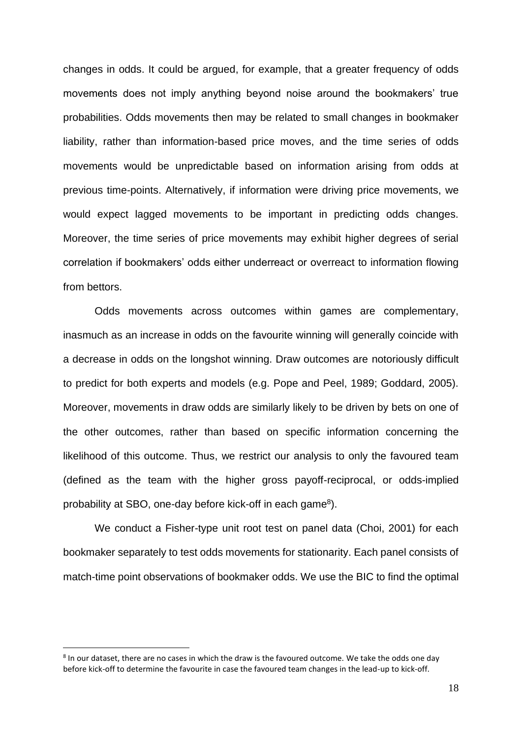changes in odds. It could be argued, for example, that a greater frequency of odds movements does not imply anything beyond noise around the bookmakers' true probabilities. Odds movements then may be related to small changes in bookmaker liability, rather than information-based price moves, and the time series of odds movements would be unpredictable based on information arising from odds at previous time-points. Alternatively, if information were driving price movements, we would expect lagged movements to be important in predicting odds changes. Moreover, the time series of price movements may exhibit higher degrees of serial correlation if bookmakers' odds either underreact or overreact to information flowing from bettors.

Odds movements across outcomes within games are complementary, inasmuch as an increase in odds on the favourite winning will generally coincide with a decrease in odds on the longshot winning. Draw outcomes are notoriously difficult to predict for both experts and models (e.g. Pope and Peel, 1989; Goddard, 2005). Moreover, movements in draw odds are similarly likely to be driven by bets on one of the other outcomes, rather than based on specific information concerning the likelihood of this outcome. Thus, we restrict our analysis to only the favoured team (defined as the team with the higher gross payoff-reciprocal, or odds-implied probability at SBO, one-day before kick-off in each game<sup>8</sup>).

We conduct a Fisher-type unit root test on panel data (Choi, 2001) for each bookmaker separately to test odds movements for stationarity. Each panel consists of match-time point observations of bookmaker odds. We use the BIC to find the optimal

<sup>&</sup>lt;sup>8</sup> In our dataset, there are no cases in which the draw is the favoured outcome. We take the odds one day before kick-off to determine the favourite in case the favoured team changes in the lead-up to kick-off.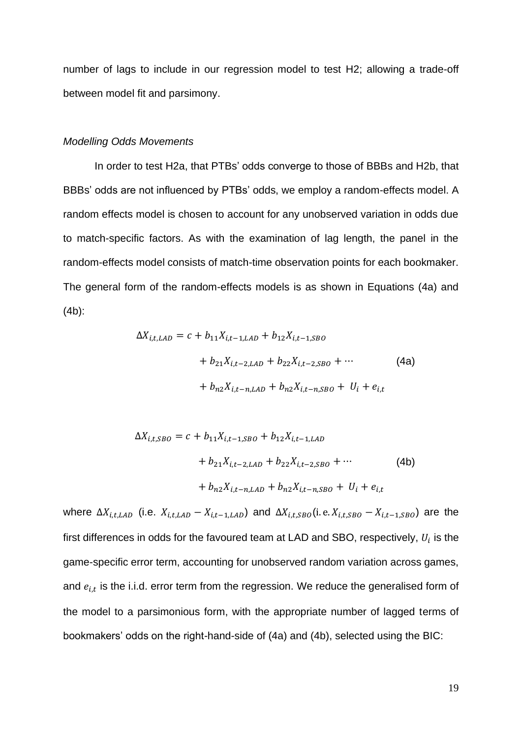number of lags to include in our regression model to test H2; allowing a trade-off between model fit and parsimony.

# *Modelling Odds Movements*

In order to test H2a, that PTBs' odds converge to those of BBBs and H2b, that BBBs' odds are not influenced by PTBs' odds, we employ a random-effects model. A random effects model is chosen to account for any unobserved variation in odds due to match-specific factors. As with the examination of lag length, the panel in the random-effects model consists of match-time observation points for each bookmaker. The general form of the random-effects models is as shown in Equations (4a) and (4b):

$$
\Delta X_{i,t,LAB} = c + b_{11} X_{i,t-1,LAB} + b_{12} X_{i,t-1,SBO}
$$
  
+  $b_{21} X_{i,t-2,LAB} + b_{22} X_{i,t-2,SBO} + \cdots$  (4a)  
+  $b_{n2} X_{i,t-n,LAD} + b_{n2} X_{i,t-n,SBO} + U_i + e_{i,t}$ 

$$
\Delta X_{i,t, SBO} = c + b_{11} X_{i,t-1, SBO} + b_{12} X_{i,t-1, LAD}
$$
  
+  $b_{21} X_{i,t-2, LAD} + b_{22} X_{i,t-2, SBO} + \cdots$  (4b)  
+  $b_{n2} X_{i,t-n, LAD} + b_{n2} X_{i,t-n, SBO} + U_i + e_{i,t}$ 

where  $\Delta X_{i,t,LAD}$  (i.e.  $X_{i,t,LAD} - X_{i,t-1,LAD}$ ) and  $\Delta X_{i,t, SBO}$  (i.e.  $X_{i,t, SBO} - X_{i,t-1, SBO}$ ) are the first differences in odds for the favoured team at LAD and SBO, respectively,  $U_i$  is the game-specific error term, accounting for unobserved random variation across games, and  $e_{i,t}$  is the i.i.d. error term from the regression. We reduce the generalised form of the model to a parsimonious form, with the appropriate number of lagged terms of bookmakers' odds on the right-hand-side of (4a) and (4b), selected using the BIC: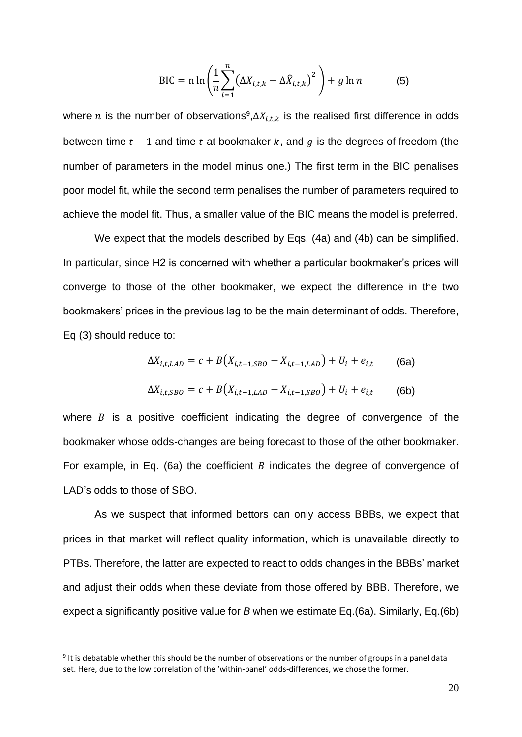$$
\text{BIC} = n \ln \left( \frac{1}{n} \sum_{i=1}^{n} \left( \Delta X_{i,t,k} - \Delta \hat{X}_{i,t,k} \right)^2 \right) + g \ln n \tag{5}
$$

where  $n$  is the number of observations<sup>9</sup>,  $\Delta X_{i,t,k}$  is the realised first difference in odds between time  $t - 1$  and time  $t$  at bookmaker  $k$ , and  $q$  is the degrees of freedom (the number of parameters in the model minus one.) The first term in the BIC penalises poor model fit, while the second term penalises the number of parameters required to achieve the model fit. Thus, a smaller value of the BIC means the model is preferred.

We expect that the models described by Eqs. (4a) and (4b) can be simplified. In particular, since H2 is concerned with whether a particular bookmaker's prices will converge to those of the other bookmaker, we expect the difference in the two bookmakers' prices in the previous lag to be the main determinant of odds. Therefore, Eq (3) should reduce to:

$$
\Delta X_{i,t,LAD} = c + B(X_{i,t-1,SBO} - X_{i,t-1,LAD}) + U_i + e_{i,t}
$$
 (6a)  

$$
\Delta X_{i,t,SBO} = c + B(X_{i,t-1,LAD} - X_{i,t-1,SBO}) + U_i + e_{i,t}
$$
 (6b)

where  $B$  is a positive coefficient indicating the degree of convergence of the bookmaker whose odds-changes are being forecast to those of the other bookmaker. For example, in Eq. (6a) the coefficient  $B$  indicates the degree of convergence of LAD's odds to those of SBO.

As we suspect that informed bettors can only access BBBs, we expect that prices in that market will reflect quality information, which is unavailable directly to PTBs. Therefore, the latter are expected to react to odds changes in the BBBs' market and adjust their odds when these deviate from those offered by BBB. Therefore, we expect a significantly positive value for *B* when we estimate Eq.(6a). Similarly, Eq.(6b)

<sup>&</sup>lt;sup>9</sup> It is debatable whether this should be the number of observations or the number of groups in a panel data set. Here, due to the low correlation of the 'within-panel' odds-differences, we chose the former.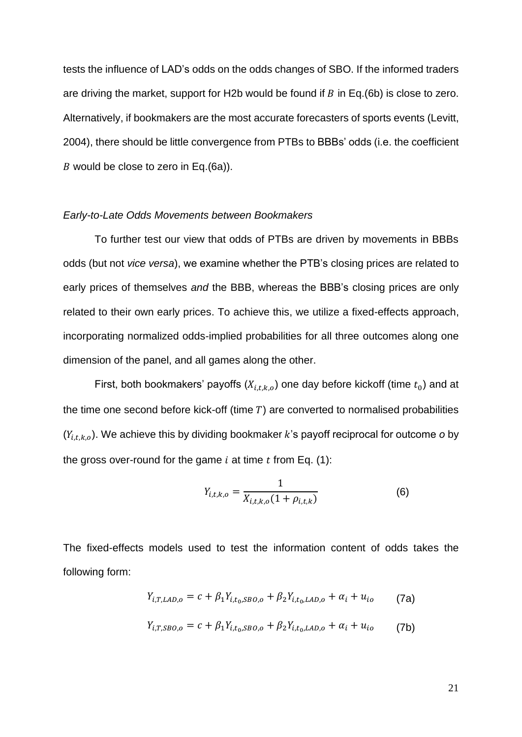tests the influence of LAD's odds on the odds changes of SBO. If the informed traders are driving the market, support for H2b would be found if  $B$  in Eq.(6b) is close to zero. Alternatively, if bookmakers are the most accurate forecasters of sports events (Levitt, 2004), there should be little convergence from PTBs to BBBs' odds (i.e. the coefficient B would be close to zero in Eq.(6a)).

# *Early-to-Late Odds Movements between Bookmakers*

To further test our view that odds of PTBs are driven by movements in BBBs odds (but not *vice versa*), we examine whether the PTB's closing prices are related to early prices of themselves *and* the BBB, whereas the BBB's closing prices are only related to their own early prices. To achieve this, we utilize a fixed-effects approach, incorporating normalized odds-implied probabilities for all three outcomes along one dimension of the panel, and all games along the other.

First, both bookmakers' payoffs  $(X_{i,t,k,o})$  one day before kickoff (time  $t_0$ ) and at the time one second before kick-off (time  $T$ ) are converted to normalised probabilities  $(Y_{i,t,k,o})$ . We achieve this by dividing bookmaker k's payoff reciprocal for outcome *o* by the gross over-round for the game  $i$  at time  $t$  from Eq. (1):

$$
Y_{i,t,k,o} = \frac{1}{X_{i,t,k,o}(1 + \rho_{i,t,k})}
$$
(6)

The fixed-effects models used to test the information content of odds takes the following form:

$$
Y_{i,T,LAB,o} = c + \beta_1 Y_{i,t_0, SBO,o} + \beta_2 Y_{i,t_0, LAB,o} + \alpha_i + u_{io}
$$
 (7a)

$$
Y_{i,T, SBO, o} = c + \beta_1 Y_{i,t_0, SBO, o} + \beta_2 Y_{i,t_0, LAD, o} + \alpha_i + u_{io}
$$
 (7b)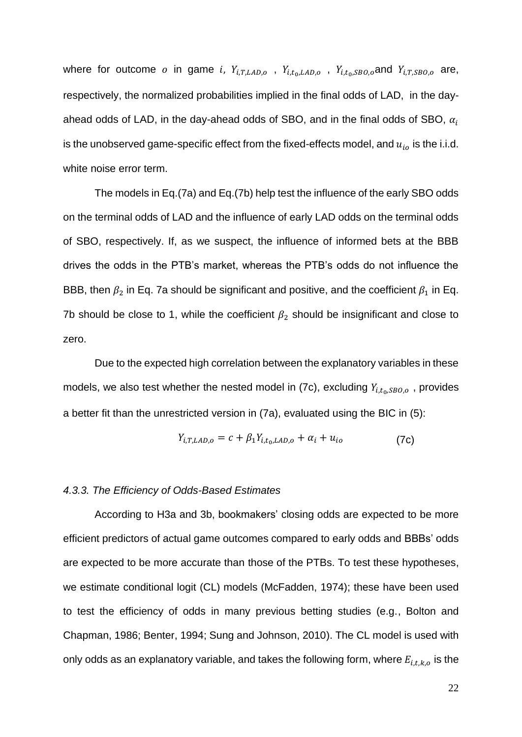where for outcome o in game i,  $Y_{i,T,LAD,o}$ ,  $Y_{i,t_0,LAD,o}$ ,  $Y_{i,t_0, SBO,o}$  and  $Y_{i,T,SBO,o}$  are, respectively, the normalized probabilities implied in the final odds of LAD, in the dayahead odds of LAD, in the day-ahead odds of SBO, and in the final odds of SBO,  $\alpha_i$ is the unobserved game-specific effect from the fixed-effects model, and  $u_{io}$  is the i.i.d. white noise error term.

The models in Eq.(7a) and Eq.(7b) help test the influence of the early SBO odds on the terminal odds of LAD and the influence of early LAD odds on the terminal odds of SBO, respectively. If, as we suspect, the influence of informed bets at the BBB drives the odds in the PTB's market, whereas the PTB's odds do not influence the BBB, then  $\beta_2$  in Eq. 7a should be significant and positive, and the coefficient  $\beta_1$  in Eq. 7b should be close to 1, while the coefficient  $\beta_2$  should be insignificant and close to zero.

Due to the expected high correlation between the explanatory variables in these models, we also test whether the nested model in (7c), excluding  $Y_{i,t_0, SBO, o}$  , provides a better fit than the unrestricted version in (7a), evaluated using the BIC in (5):

$$
Y_{i,T,LAD,o} = c + \beta_1 Y_{i,t_0,LAD,o} + \alpha_i + u_{io}
$$
 (7c)

#### *4.3.3. The Efficiency of Odds-Based Estimates*

According to H3a and 3b, bookmakers' closing odds are expected to be more efficient predictors of actual game outcomes compared to early odds and BBBs' odds are expected to be more accurate than those of the PTBs. To test these hypotheses, we estimate conditional logit (CL) models (McFadden, 1974); these have been used to test the efficiency of odds in many previous betting studies (e.g., Bolton and Chapman, 1986; Benter, 1994; Sung and Johnson, 2010). The CL model is used with only odds as an explanatory variable, and takes the following form, where  $E_{i,t,k,o}$  is the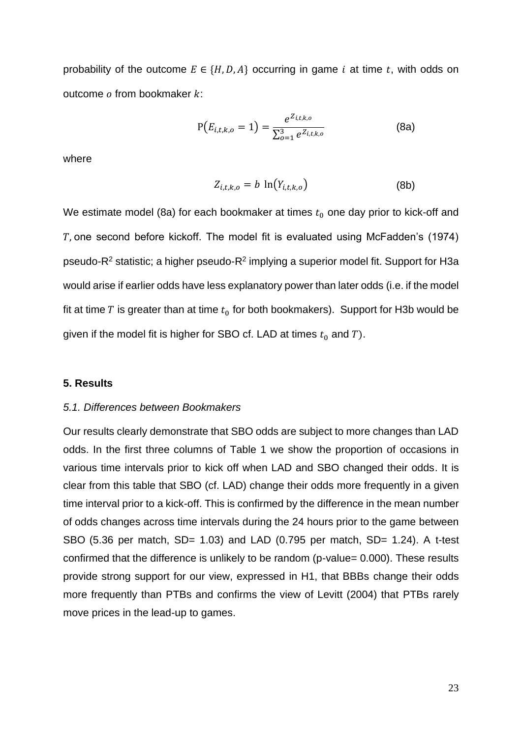probability of the outcome  $E \in \{H, D, A\}$  occurring in game *i* at time *t*, with odds on outcome  $o$  from bookmaker  $k$ :

$$
P(E_{i,t,k,o} = 1) = \frac{e^{Z_{i,t,k,o}}}{\sum_{o=1}^{3} e^{Z_{i,t,k,o}}}
$$
(8a)

where

$$
Z_{i,t,k,o} = b \ln(Y_{i,t,k,o}) \tag{8b}
$$

We estimate model (8a) for each bookmaker at times  $t_0$  one day prior to kick-off and , one second before kickoff. The model fit is evaluated using McFadden's (1974) pseudo-R<sup>2</sup> statistic; a higher pseudo-R<sup>2</sup> implying a superior model fit. Support for H3a would arise if earlier odds have less explanatory power than later odds (i.e. if the model fit at time T is greater than at time  $t_0$  for both bookmakers). Support for H3b would be given if the model fit is higher for SBO cf. LAD at times  $t_0$  and T).

# **5. Results**

# *5.1. Differences between Bookmakers*

Our results clearly demonstrate that SBO odds are subject to more changes than LAD odds. In the first three columns of Table 1 we show the proportion of occasions in various time intervals prior to kick off when LAD and SBO changed their odds. It is clear from this table that SBO (cf. LAD) change their odds more frequently in a given time interval prior to a kick-off. This is confirmed by the difference in the mean number of odds changes across time intervals during the 24 hours prior to the game between SBO (5.36 per match, SD= 1.03) and LAD (0.795 per match, SD= 1.24). A t-test confirmed that the difference is unlikely to be random (p-value= 0.000). These results provide strong support for our view, expressed in H1, that BBBs change their odds more frequently than PTBs and confirms the view of Levitt (2004) that PTBs rarely move prices in the lead-up to games.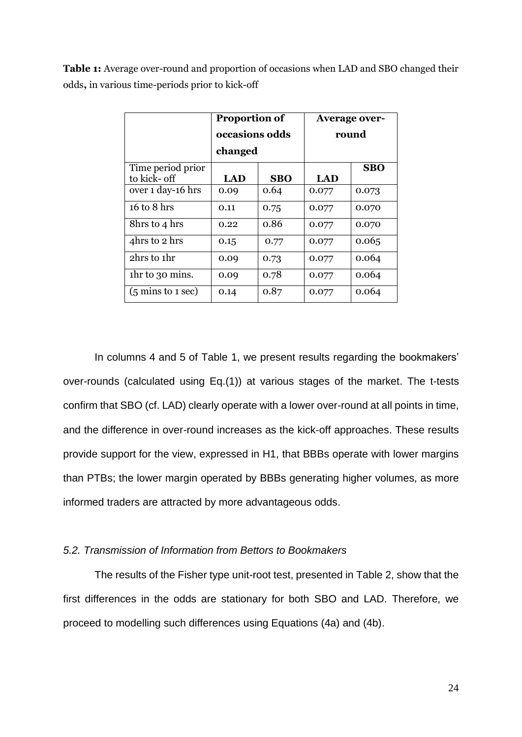**Table 1:** Average over-round and proportion of occasions when LAD and SBO changed their odds**,** in various time-periods prior to kick-off

|                                      | <b>Proportion of</b><br>occasions odds |            | <b>Average over-</b><br>round |            |  |
|--------------------------------------|----------------------------------------|------------|-------------------------------|------------|--|
|                                      | changed                                |            |                               |            |  |
| Time period prior                    |                                        |            |                               | <b>SBO</b> |  |
| to kick- off                         | LAD                                    | <b>SBO</b> | LAD                           |            |  |
| over 1 day-16 hrs                    | 0.09                                   | 0.64       | 0.077                         | 0.073      |  |
| 16 to 8 hrs                          | 0.11                                   | 0.75       | 0.077                         | 0.070      |  |
| 8hrs to 4 hrs                        | 0.22                                   | 0.86       | 0.077                         | 0.070      |  |
| 4hrs to 2 hrs                        | 0.15                                   | 0.77       | 0.077                         | 0.065      |  |
| 2hrs to 1hr                          | 0.09                                   | 0.73       | 0.077                         | 0.064      |  |
| the to 30 mins.                      | 0.09                                   | 0.78       | 0.077                         | 0.064      |  |
| $(5 \text{ mins to } 1 \text{ sec})$ | 0.14                                   | 0.87       | 0.077                         | 0.064      |  |

In columns 4 and 5 of Table 1, we present results regarding the bookmakers' over-rounds (calculated using Eq.(1)) at various stages of the market. The t-tests confirm that SBO (cf. LAD) clearly operate with a lower over-round at all points in time, and the difference in over-round increases as the kick-off approaches. These results provide support for the view, expressed in H1, that BBBs operate with lower margins than PTBs; the lower margin operated by BBBs generating higher volumes, as more informed traders are attracted by more advantageous odds.

# *5.2. Transmission of Information from Bettors to Bookmakers*

The results of the Fisher type unit-root test, presented in Table 2, show that the first differences in the odds are stationary for both SBO and LAD. Therefore, we proceed to modelling such differences using Equations (4a) and (4b).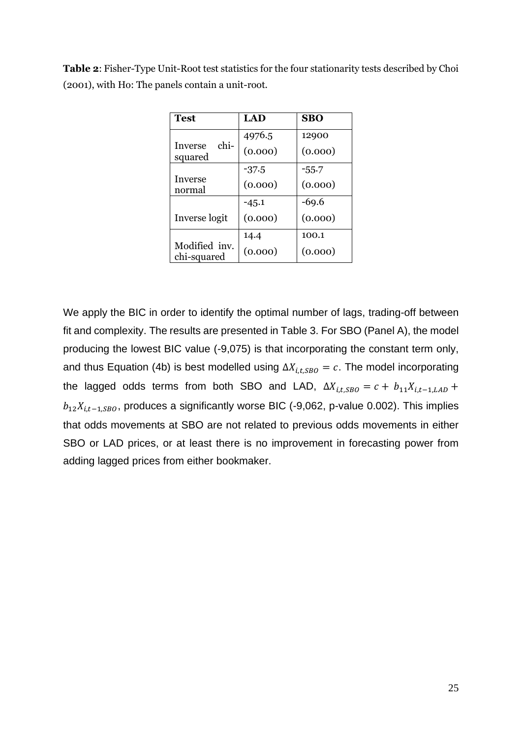| <b>Table 2:</b> Fisher-Type Unit-Root test statistics for the four stationarity tests described by Choi |
|---------------------------------------------------------------------------------------------------------|
| (2001), with Ho: The panels contain a unit-root.                                                        |

| Test                         | LAD     | <b>SBO</b> |
|------------------------------|---------|------------|
|                              | 4976.5  | 12900      |
| chi-<br>Inverse<br>squared   | (0.000) | (0.000)    |
|                              | -37.5   | $-55.7$    |
| Inverse<br>normal            | (0.000) | (0.000)    |
|                              | $-45.1$ | $-69.6$    |
| Inverse logit                | (0.000) | (0.000)    |
|                              | 14.4    | 100.1      |
| Modified inv.<br>chi-squared | (0.000) | (0.000)    |

We apply the BIC in order to identify the optimal number of lags, trading-off between fit and complexity. The results are presented in Table 3. For SBO (Panel A), the model producing the lowest BIC value (-9,075) is that incorporating the constant term only, and thus Equation (4b) is best modelled using  $\Delta X_{i,t, SBO} = c$ . The model incorporating the lagged odds terms from both SBO and LAD,  $\Delta X_{i,t, SBO} = c + b_{11}X_{i,t-1, LAD} +$  $b_{12}X_{i,t-1, SBO}$ , produces a significantly worse BIC (-9,062, p-value 0.002). This implies that odds movements at SBO are not related to previous odds movements in either SBO or LAD prices, or at least there is no improvement in forecasting power from adding lagged prices from either bookmaker.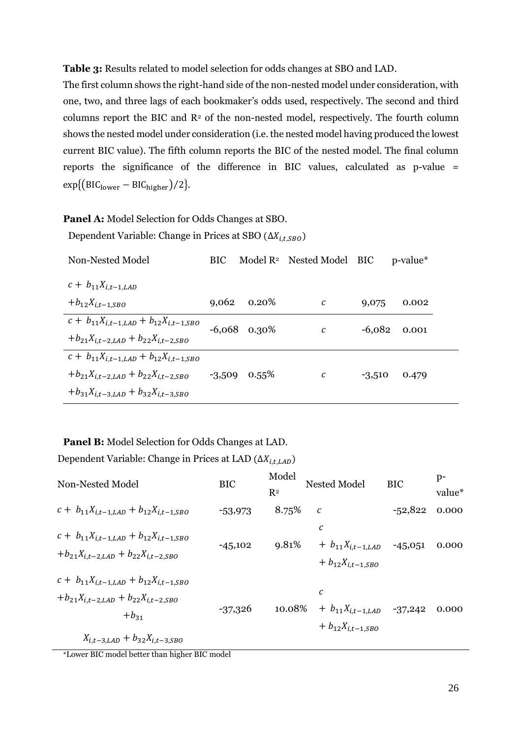**Table 3:** Results related to model selection for odds changes at SBO and LAD.

The first column shows the right-hand side of the non-nested model under consideration, with one, two, and three lags of each bookmaker's odds used, respectively. The second and third columns report the BIC and  $\mathbb{R}^2$  of the non-nested model, respectively. The fourth column shows the nested model under consideration (i.e. the nested model having produced the lowest current BIC value). The fifth column reports the BIC of the nested model. The final column reports the significance of the difference in BIC values, calculated as p-value =  $exp\{ (BIC_{lower} - BIC_{higher})/2 \}.$ 

**Panel A:** Model Selection for Odds Changes at SBO. Dependent Variable: Change in Prices at SBO ( $\Delta X_{i,t,SBO}$ )

| Non-Nested Model                                    | <b>BIC</b> |                | Model $\mathbb{R}^2$ Nested Model BIC |          | p-value* |
|-----------------------------------------------------|------------|----------------|---------------------------------------|----------|----------|
| $c + b_{11} X_{i,t-1,LAD}$                          |            |                |                                       |          |          |
| $+b_{12}X_{i,t-1,SBO}$                              | 9,062      | $0.20\%$       | C                                     | 9,075    | 0.002    |
| $c + b_{11}X_{i,t-1,LAD} + b_{12}X_{i,t-1,SBO}$     |            | $-6,068$ 0.30% | $\mathcal{C}_{0}$                     | $-6,082$ | 0.001    |
| $+ b_{21}X_{i,t-2,LAD} + b_{22}X_{i,t-2,SBO}$       |            |                |                                       |          |          |
| $c + b_{11}X_{i,t-1,LAD} + b_{12}X_{i,t-1,SBO}$     |            |                |                                       |          |          |
| $+b_{21}X_{i,t-2,LAD} + b_{22}X_{i,t-2,SBO}$ -3,509 |            | $0.55\%$       | C                                     | $-3,510$ | 0.479    |
| $+ b_{31}X_{i,t-3,LAD} + b_{32}X_{i,t-3,SBO}$       |            |                |                                       |          |          |

# **Panel B:** Model Selection for Odds Changes at LAD.

Dependent Variable: Change in Prices at LAD ( $\Delta X_{i,t,LAD}$ )

| Non-Nested Model                                                                                                                                         | <b>BIC</b> | Model<br>R <sup>2</sup> | Nested Model                                                         | <b>BIC</b> | $p-$<br>value* |
|----------------------------------------------------------------------------------------------------------------------------------------------------------|------------|-------------------------|----------------------------------------------------------------------|------------|----------------|
| $c + b_{11}X_{i,t-1,LAD} + b_{12}X_{i,t-1,SBO}$                                                                                                          | $-53,973$  | 8.75%                   | $\mathcal{C}_{0}$                                                    | $-52,822$  | 0.000          |
| $c + b_{11}X_{i,t-1,LAD} + b_{12}X_{i,t-1,SBO}$<br>$+ b_{21}X_{i,t-2,LAD} + b_{22}X_{i,t-2,SBO}$                                                         | $-45,102$  | 9.81%                   | с<br>$+ b_{11} X_{i,t-1,LAD}$<br>$+ b_{12} X_{i,t-1,SBO}$            | $-45,051$  | 0.000          |
| $c + b_{11}X_{i,t-1,LAD} + b_{12}X_{i,t-1,SBO}$<br>$+ b_{21} X_{i,t-2,LAD} + b_{22} X_{i,t-2,SBO}$<br>$+b_{31}$<br>$X_{i,t-3,LAD} + b_{32}X_{i,t-3,SBO}$ | $-37,326$  | 10.08%                  | $\mathcal C$<br>$+ b_{11} X_{i,t-1,LAD}$<br>$+ b_{12} X_{i,t-1,SBO}$ | $-37,242$  | 0.000          |

\*Lower BIC model better than higher BIC model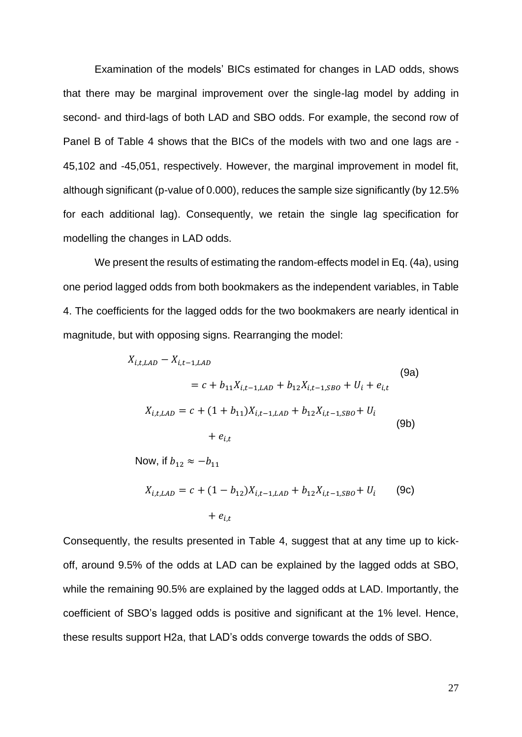Examination of the models' BICs estimated for changes in LAD odds, shows that there may be marginal improvement over the single-lag model by adding in second- and third-lags of both LAD and SBO odds. For example, the second row of Panel B of Table 4 shows that the BICs of the models with two and one lags are - 45,102 and -45,051, respectively. However, the marginal improvement in model fit, although significant (p-value of 0.000), reduces the sample size significantly (by 12.5% for each additional lag). Consequently, we retain the single lag specification for modelling the changes in LAD odds.

We present the results of estimating the random-effects model in Eq. (4a), using one period lagged odds from both bookmakers as the independent variables, in Table 4. The coefficients for the lagged odds for the two bookmakers are nearly identical in magnitude, but with opposing signs. Rearranging the model:

$$
X_{i,t,LAB} - X_{i,t-1,LAB}
$$
\n
$$
= c + b_{11}X_{i,t-1,LAB} + b_{12}X_{i,t-1,SBO} + U_i + e_{i,t}
$$
\n
$$
X_{i,t,LAB} = c + (1 + b_{11})X_{i,t-1,LAD} + b_{12}X_{i,t-1,SBO} + U_i
$$
\n
$$
+ e_{i,t}
$$
\n(9b)\n
$$
+ b_{12} \approx -b_{11}
$$
\n(9c)

$$
X_{i,t,LAD} = c + (1 - b_{12})X_{i,t-1,LAD} + b_{12}X_{i,t-1,SBO} + U_i
$$
 (9c)  
+  $e_{i,t}$ 

Consequently, the results presented in Table 4, suggest that at any time up to kickoff, around 9.5% of the odds at LAD can be explained by the lagged odds at SBO, while the remaining 90.5% are explained by the lagged odds at LAD. Importantly, the coefficient of SBO's lagged odds is positive and significant at the 1% level. Hence, these results support H2a, that LAD's odds converge towards the odds of SBO.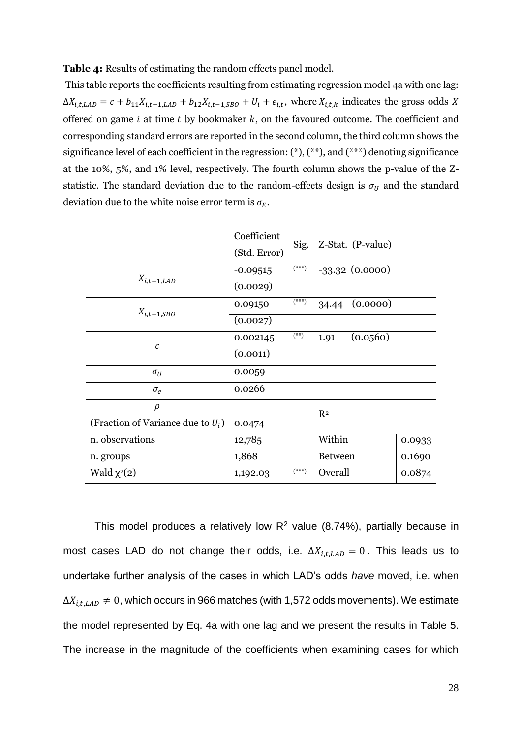**Table 4:** Results of estimating the random effects panel model.

This table reports the coefficients resulting from estimating regression model 4a with one lag:  $\Delta X_{i,t,LAD} = c + b_{11} X_{i,t-1,LAD} + b_{12} X_{i,t-1,SBO} + U_i + e_{i,t}$ , where  $X_{i,t,k}$  indicates the gross odds X offered on game  $i$  at time  $t$  by bookmaker  $k$ , on the favoured outcome. The coefficient and corresponding standard errors are reported in the second column, the third column shows the significance level of each coefficient in the regression:  $(*), (**, and (***)$  denoting significance at the 10%, 5%, and 1% level, respectively. The fourth column shows the p-value of the Zstatistic. The standard deviation due to the random-effects design is  $\sigma_U$  and the standard deviation due to the white noise error term is  $\sigma_E$ .

|                                      | Coefficient  |         |                |                   |        |
|--------------------------------------|--------------|---------|----------------|-------------------|--------|
|                                      | (Std. Error) | Sig.    |                | Z-Stat. (P-value) |        |
|                                      | $-0.09515$   | (***)   |                | $-33.32$ (0.0000) |        |
| $X_{i,t-1,LAD}$                      | (0.0029)     |         |                |                   |        |
| $X_{i,t-1,SBO}$                      | 0.09150      | $(***)$ | 34.44          | (0.0000)          |        |
|                                      | (0.0027)     |         |                |                   |        |
| С                                    | 0.002145     | $(**)$  | 1.91           | (0.0560)          |        |
|                                      | (0.0011)     |         |                |                   |        |
| $\sigma_{II}$                        | 0.0059       |         |                |                   |        |
| $\sigma_e$                           | 0.0266       |         |                |                   |        |
| $\rho$                               |              |         | $R^2$          |                   |        |
| (Fraction of Variance due to $U_i$ ) | 0.0474       |         |                |                   |        |
| n. observations                      | 12,785       |         | Within         |                   | 0.0933 |
| n. groups                            | 1,868        |         | <b>Between</b> |                   | 0.1690 |
| Wald $\chi^2(2)$                     | 1,192.03     | $(***)$ | Overall        |                   | 0.0874 |

This model produces a relatively low  $R^2$  value (8.74%), partially because in most cases LAD do not change their odds, i.e.  $\Delta X_{i,t,LAB} = 0$ . This leads us to undertake further analysis of the cases in which LAD's odds *have* moved, i.e. when  $\Delta X_{i,t, LAB} \neq 0$ , which occurs in 966 matches (with 1,572 odds movements). We estimate the model represented by Eq. 4a with one lag and we present the results in Table 5. The increase in the magnitude of the coefficients when examining cases for which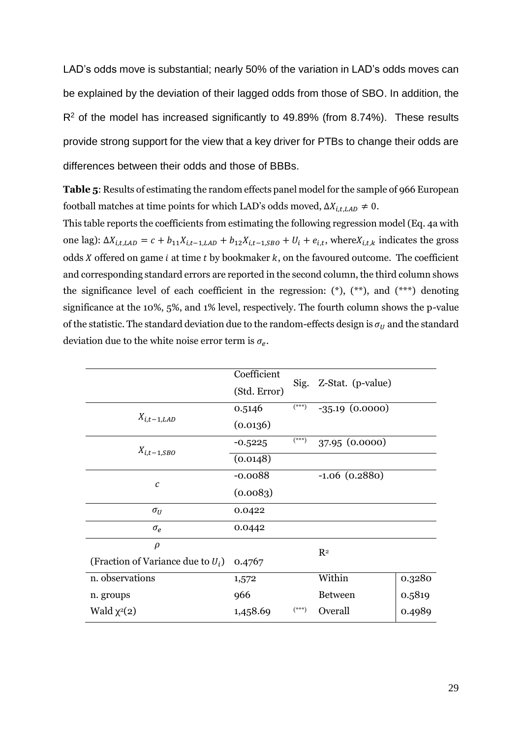LAD's odds move is substantial; nearly 50% of the variation in LAD's odds moves can be explained by the deviation of their lagged odds from those of SBO. In addition, the  $R<sup>2</sup>$  of the model has increased significantly to 49.89% (from 8.74%). These results provide strong support for the view that a key driver for PTBs to change their odds are differences between their odds and those of BBBs.

**Table 5**: Results of estimating the random effects panel model for the sample of 966 European football matches at time points for which LAD's odds moved,  $\Delta X_{i,t, LAD} \neq 0$ .

This table reports the coefficients from estimating the following regression model (Eq. 4a with one lag):  $\Delta X_{i,t,LAB} = c + b_{11} X_{i,t-1,LAB} + b_{12} X_{i,t-1,SBO} + U_i + e_{i,t}$ , where  $X_{i,t,k}$  indicates the gross odds  $X$  offered on game  $i$  at time  $t$  by bookmaker  $k$ , on the favoured outcome. The coefficient and corresponding standard errors are reported in the second column, the third column shows the significance level of each coefficient in the regression:  $(*), (*),$  and  $(***)$  denoting significance at the 10%, 5%, and 1% level, respectively. The fourth column shows the p-value of the statistic. The standard deviation due to the random-effects design is  $\sigma_U$  and the standard deviation due to the white noise error term is  $\sigma_e$ .

|                                      | Coefficient<br>(Std. Error) | Sig.    | Z-Stat. (p-value)  |        |
|--------------------------------------|-----------------------------|---------|--------------------|--------|
|                                      | 0.5146                      | $(***)$ | $-35.19(0.0000)$   |        |
| $X_{i,t-1,LAD}$                      | (0.0136)                    |         |                    |        |
|                                      | $-0.5225$                   | $(***)$ | 37.95 (0.0000)     |        |
| $X_{i,t-1,SBO}$                      | (0.0148)                    |         |                    |        |
| $\boldsymbol{c}$                     | $-0.0088$                   |         | $-1.06$ $(0.2880)$ |        |
|                                      | (0.0083)                    |         |                    |        |
| $\sigma_U$                           | 0.0422                      |         |                    |        |
| $\sigma_e$                           | 0.0442                      |         |                    |        |
| $\rho$                               |                             |         | $R^2$              |        |
| (Fraction of Variance due to $U_i$ ) | 0.4767                      |         |                    |        |
| n. observations                      | 1,572                       |         | Within             | 0.3280 |
| n. groups                            | 966                         |         | <b>Between</b>     | 0.5819 |
| Wald $\chi^2(2)$                     | 1,458.69                    | $(***)$ | Overall            | 0.4989 |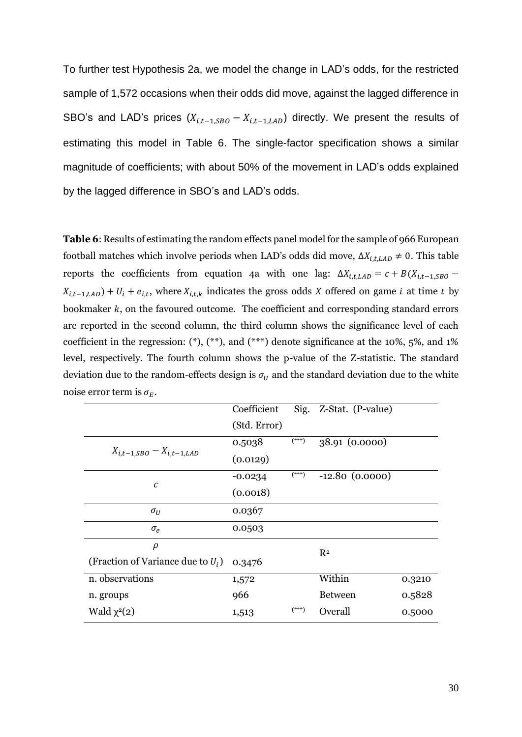To further test Hypothesis 2a, we model the change in LAD's odds, for the restricted sample of 1,572 occasions when their odds did move, against the lagged difference in SBO's and LAD's prices  $(X_{i,t-1, SBO} - X_{i,t-1, LAD})$  directly. We present the results of estimating this model in Table 6. The single-factor specification shows a similar magnitude of coefficients; with about 50% of the movement in LAD's odds explained by the lagged difference in SBO's and LAD's odds.

**Table 6**: Results of estimating the random effects panel model for the sample of 966 European football matches which involve periods when LAD's odds did move,  $\Delta X_{i,t, LAD} \neq 0$ . This table reports the coefficients from equation 4a with one lag:  $\Delta X_{i,t,LAD} = c + B(X_{i,t-1,SBO} X_{i,t-1,LAD}$ ) +  $U_i + e_{i,t}$ , where  $X_{i,t,k}$  indicates the gross odds X offered on game *i* at time *t* by bookmaker  $k$ , on the favoured outcome. The coefficient and corresponding standard errors are reported in the second column, the third column shows the significance level of each coefficient in the regression:  $(*), (**,)$ , and  $(***)$  denote significance at the 10%, 5%, and 1% level, respectively. The fourth column shows the p-value of the Z-statistic. The standard deviation due to the random-effects design is  $\sigma_U$  and the standard deviation due to the white noise error term is  $\sigma_E$ .

|                                             | Coefficient  | Sig.    | Z-Stat. (P-value) |        |
|---------------------------------------------|--------------|---------|-------------------|--------|
|                                             | (Std. Error) |         |                   |        |
|                                             | 0.5038       | $(***)$ | 38.91 (0.0000)    |        |
| $X_{i,t-1,SBO} - X_{i,t-1,LAD}$             | (0.0129)     |         |                   |        |
|                                             | $-0.0234$    | $(***)$ | $-12.80(0.0000)$  |        |
| $\cal C$                                    | (0.0018)     |         |                   |        |
| $\sigma_{II}$                               | 0.0367       |         |                   |        |
| $\sigma_e$                                  | 0.0503       |         |                   |        |
| $\rho$                                      |              |         | $R^2$             |        |
| (Fraction of Variance due to $U_i$ ) 0.3476 |              |         |                   |        |
| n. observations                             | 1,572        |         | Within            | 0.3210 |
| n. groups                                   | 966          |         | <b>Between</b>    | 0.5828 |
| Wald $\chi^2(2)$                            | 1,513        | $(***)$ | Overall           | 0.5000 |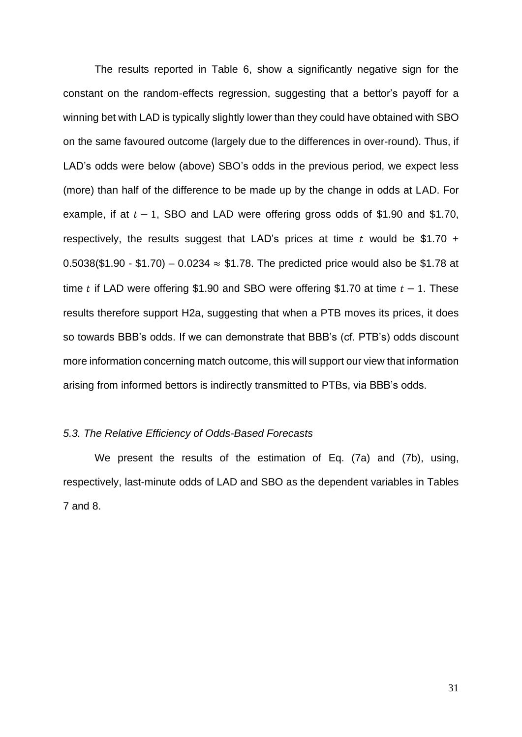The results reported in Table 6, show a significantly negative sign for the constant on the random-effects regression, suggesting that a bettor's payoff for a winning bet with LAD is typically slightly lower than they could have obtained with SBO on the same favoured outcome (largely due to the differences in over-round). Thus, if LAD's odds were below (above) SBO's odds in the previous period, we expect less (more) than half of the difference to be made up by the change in odds at LAD. For example, if at  $t - 1$ , SBO and LAD were offering gross odds of \$1.90 and \$1.70, respectively, the results suggest that LAD's prices at time  $t$  would be \$1.70 + 0.5038(\$1.90 - \$1.70) – 0.0234  $\approx$  \$1.78. The predicted price would also be \$1.78 at time t if LAD were offering \$1.90 and SBO were offering \$1.70 at time  $t - 1$ . These results therefore support H2a, suggesting that when a PTB moves its prices, it does so towards BBB's odds. If we can demonstrate that BBB's (cf. PTB's) odds discount more information concerning match outcome, this will support our view that information arising from informed bettors is indirectly transmitted to PTBs, via BBB's odds.

# *5.3. The Relative Efficiency of Odds-Based Forecasts*

We present the results of the estimation of Eq. (7a) and (7b), using, respectively, last-minute odds of LAD and SBO as the dependent variables in Tables 7 and 8.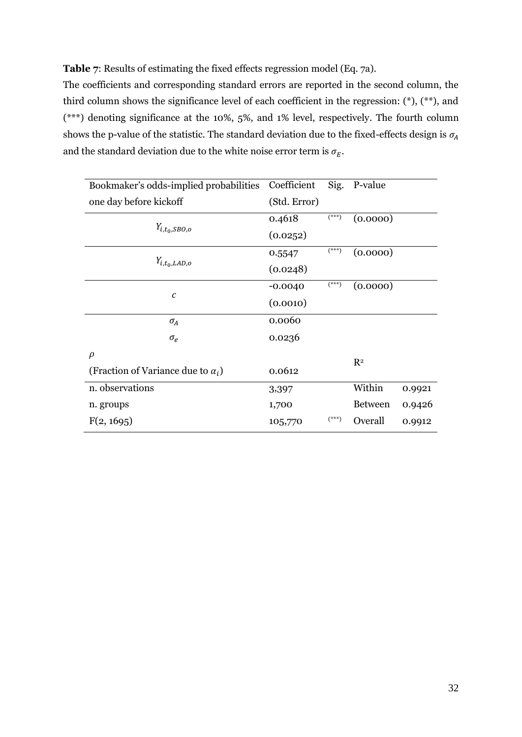# **Table 7**: Results of estimating the fixed effects regression model (Eq. 7a).

The coefficients and corresponding standard errors are reported in the second column, the third column shows the significance level of each coefficient in the regression: (\*), (\*\*), and (\*\*\*) denoting significance at the 10%, 5%, and 1% level, respectively. The fourth column shows the p-value of the statistic. The standard deviation due to the fixed-effects design is  $\sigma_{\!A}$ and the standard deviation due to the white noise error term is  $\sigma_E$ .

| Bookmaker's odds-implied probabilities    | Coefficient  | Sig.             | P-value        |        |
|-------------------------------------------|--------------|------------------|----------------|--------|
| one day before kickoff                    | (Std. Error) |                  |                |        |
|                                           | 0.4618       | <sup>***</sup> ) | (0.0000)       |        |
| $Y_{i,t_0, SBO,o}$                        | (0.0252)     |                  |                |        |
| $Y_{i,t_0, LAD, o}$                       | 0.5547       | <sup>***</sup> ) | (0.0000)       |        |
|                                           | (0.0248)     |                  |                |        |
|                                           | $-0.0040$    | (***)            | (0.0000)       |        |
| $\boldsymbol{c}$                          | (0.0010)     |                  |                |        |
| $\sigma_A$                                | 0.0060       |                  |                |        |
| $\sigma_e$                                | 0.0236       |                  |                |        |
| $\rho$                                    |              |                  | $R^2$          |        |
| (Fraction of Variance due to $\alpha_i$ ) | 0.0612       |                  |                |        |
| n. observations                           | 3,397        |                  | Within         | 0.9921 |
| n. groups                                 | 1,700        |                  | <b>Between</b> | 0.9426 |
| F(2, 1695)                                | 105,770      | $(***)$          | Overall        | 0.9912 |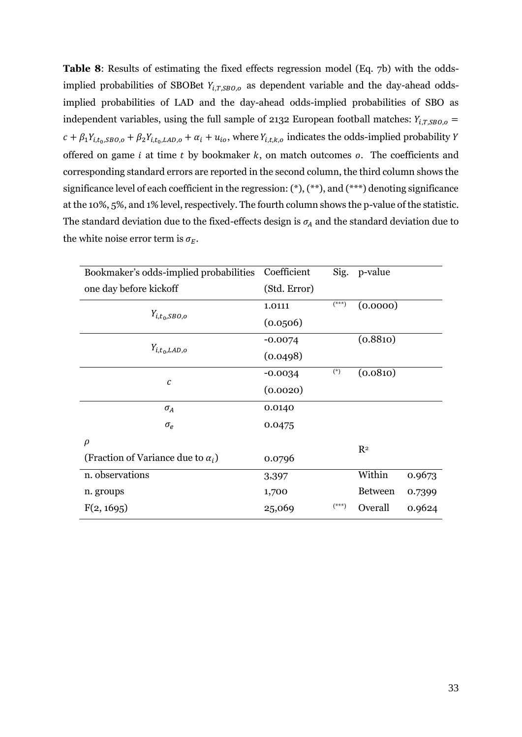**Table 8**: Results of estimating the fixed effects regression model (Eq. 7b) with the oddsimplied probabilities of SBOBet  $Y_{i,T, SBO, o}$  as dependent variable and the day-ahead oddsimplied probabilities of LAD and the day-ahead odds-implied probabilities of SBO as independent variables, using the full sample of 2132 European football matches:  $Y_{i,T, SBO, o} =$  $c + \beta_1 Y_{i,t_0, SBO, o} + \beta_2 Y_{i,t_0, LAD, o} + \alpha_i + u_{io}$ , where  $Y_{i,t,k,o}$  indicates the odds-implied probability Y offered on game  $i$  at time  $t$  by bookmaker  $k$ , on match outcomes  $o$ . The coefficients and corresponding standard errors are reported in the second column, the third column shows the significance level of each coefficient in the regression:  $(*), (**)$ , and  $(***)$  denoting significance at the 10%, 5%, and 1% level, respectively. The fourth column shows the p-value of the statistic. The standard deviation due to the fixed-effects design is  $\sigma_A$  and the standard deviation due to the white noise error term is  $\sigma_F$ .

| Bookmaker's odds-implied probabilities    | Coefficient  | Sig.                               | p-value        |        |
|-------------------------------------------|--------------|------------------------------------|----------------|--------|
| one day before kickoff                    | (Std. Error) |                                    |                |        |
|                                           | 1.0111       | $\left( ^{\ast \ast \ast }\right)$ | (0.0000)       |        |
| $Y_{i,t_0, SBO,o}$                        | (0.0506)     |                                    |                |        |
|                                           | $-0.0074$    |                                    | (0.8810)       |        |
| $Y_{i,t_0, LAD, o}$                       | (0.0498)     |                                    |                |        |
|                                           | $-0.0034$    | $(*)$                              | (0.0810)       |        |
| C                                         | (0.0020)     |                                    |                |        |
| $\sigma_A$                                | 0.0140       |                                    |                |        |
| $\sigma_e$                                | 0.0475       |                                    |                |        |
| $\rho$                                    |              |                                    | $R^2$          |        |
| (Fraction of Variance due to $\alpha_i$ ) | 0.0796       |                                    |                |        |
| n. observations                           | 3,397        |                                    | Within         | 0.9673 |
| n. groups                                 | 1,700        |                                    | <b>Between</b> | 0.7399 |
| F(2, 1695)                                | 25,069       | $(***)$                            | Overall        | 0.9624 |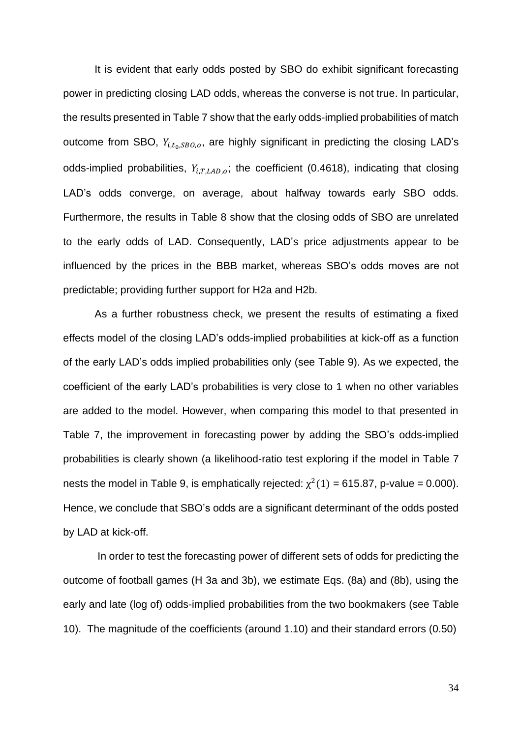It is evident that early odds posted by SBO do exhibit significant forecasting power in predicting closing LAD odds, whereas the converse is not true. In particular, the results presented in Table 7 show that the early odds-implied probabilities of match outcome from SBO,  $Y_{i,t_0, SBO,o}$ , are highly significant in predicting the closing LAD's odds-implied probabilities,  $Y_{i.T, LAD,o}$ ; the coefficient (0.4618), indicating that closing LAD's odds converge, on average, about halfway towards early SBO odds. Furthermore, the results in Table 8 show that the closing odds of SBO are unrelated to the early odds of LAD. Consequently, LAD's price adjustments appear to be influenced by the prices in the BBB market, whereas SBO's odds moves are not predictable; providing further support for H2a and H2b.

As a further robustness check, we present the results of estimating a fixed effects model of the closing LAD's odds-implied probabilities at kick-off as a function of the early LAD's odds implied probabilities only (see Table 9). As we expected, the coefficient of the early LAD's probabilities is very close to 1 when no other variables are added to the model. However, when comparing this model to that presented in Table 7, the improvement in forecasting power by adding the SBO's odds-implied probabilities is clearly shown (a likelihood-ratio test exploring if the model in Table 7 nests the model in Table 9, is emphatically rejected:  $\chi^2(1) = 615.87$ , p-value = 0.000). Hence, we conclude that SBO's odds are a significant determinant of the odds posted by LAD at kick-off.

In order to test the forecasting power of different sets of odds for predicting the outcome of football games (H 3a and 3b), we estimate Eqs. (8a) and (8b), using the early and late (log of) odds-implied probabilities from the two bookmakers (see Table 10). The magnitude of the coefficients (around 1.10) and their standard errors (0.50)

34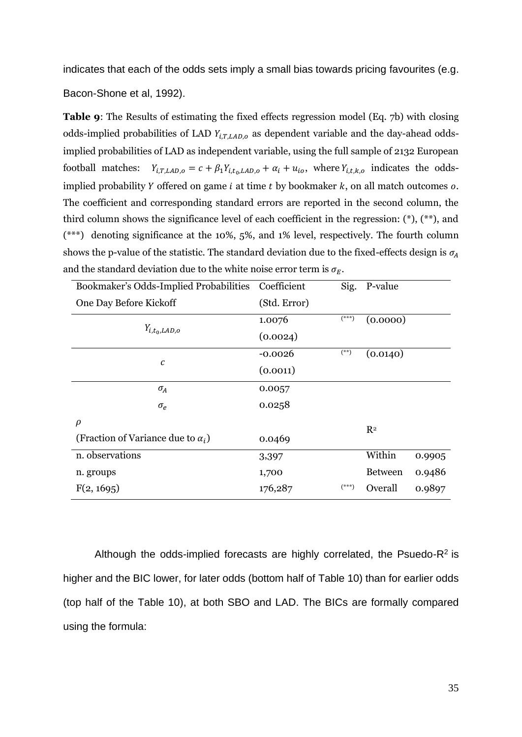indicates that each of the odds sets imply a small bias towards pricing favourites (e.g.

Bacon-Shone et al, 1992).

**Table 9**: The Results of estimating the fixed effects regression model (Eq. 7b) with closing odds-implied probabilities of LAD  $Y_{i,T,LAD,o}$  as dependent variable and the day-ahead oddsimplied probabilities of LAD as independent variable, using the full sample of 2132 European football matches:  $Y_{i,T,LAD,o} = c + \beta_1 Y_{i,t_0,LAD,o} + \alpha_i + u_{io}$ , where  $Y_{i,t,k,o}$  indicates the oddsimplied probability  $Y$  offered on game  $i$  at time  $t$  by bookmaker  $k$ , on all match outcomes  $o$ . The coefficient and corresponding standard errors are reported in the second column, the third column shows the significance level of each coefficient in the regression: (\*), (\*\*), and (\*\*\*) denoting significance at the 10%, 5%, and 1% level, respectively. The fourth column shows the p-value of the statistic. The standard deviation due to the fixed-effects design is  $\sigma_A$ and the standard deviation due to the white noise error term is  $\sigma_F$ .

| Bookmaker's Odds-Implied Probabilities    | Coefficient  | Sig.    | P-value        |        |
|-------------------------------------------|--------------|---------|----------------|--------|
| One Day Before Kickoff                    | (Std. Error) |         |                |        |
|                                           | 1.0076       | $(***)$ | (0.0000)       |        |
| $Y_{i,t_0, LAD, o}$                       | (0.0024)     |         |                |        |
|                                           | $-0.0026$    | $(**)$  | (0.0140)       |        |
| $\mathcal C$                              | (0.0011)     |         |                |        |
| $\sigma_A$                                | 0.0057       |         |                |        |
| $\sigma_e$                                | 0.0258       |         |                |        |
| $\rho$                                    |              |         | $R^2$          |        |
| (Fraction of Variance due to $\alpha_i$ ) | 0.0469       |         |                |        |
| n. observations                           | 3,397        |         | Within         | 0.9905 |
| n. groups                                 | 1,700        |         | <b>Between</b> | 0.9486 |
| F(2, 1695)                                | 176,287      | $(***)$ | Overall        | 0.9897 |

Although the odds-implied forecasts are highly correlated, the Psuedo- $R^2$  is higher and the BIC lower, for later odds (bottom half of Table 10) than for earlier odds (top half of the Table 10), at both SBO and LAD. The BICs are formally compared using the formula: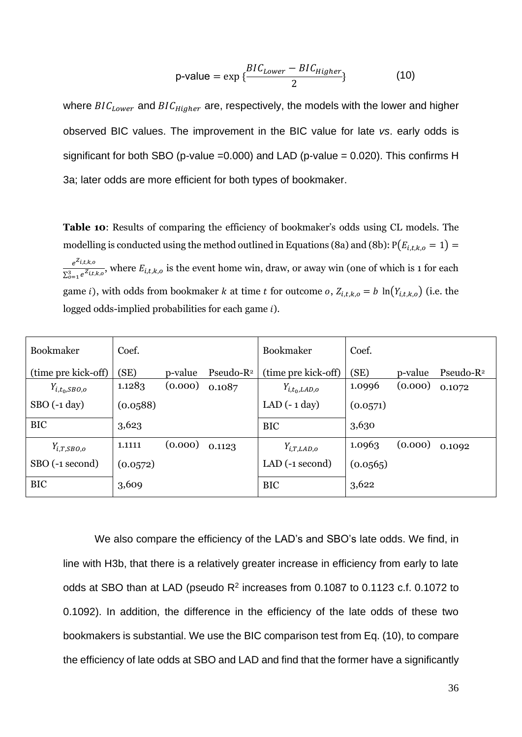$$
p-value = \exp \left\{ \frac{BIC_{Lower} - BIC_{Higher}}{2} \right\}
$$
 (10)

where  $BIC_{Lower}$  and  $BIC_{Higher}$  are, respectively, the models with the lower and higher observed BIC values. The improvement in the BIC value for late *vs*. early odds is significant for both SBO (p-value =0.000) and LAD (p-value = 0.020). This confirms H 3a; later odds are more efficient for both types of bookmaker.

**Table 10**: Results of comparing the efficiency of bookmaker's odds using CL models. The modelling is conducted using the method outlined in Equations (8a) and (8b):  $P(E_{i,t,k,o} = 1)$  =  $e^{Z_{i,t,k,o}}$  $\frac{e^{-\frac{1}{2}}\cos\theta}{\sum_{i=1}^{3}e^{i\pi/2}}$ , where  $E_{i,t,k,o}$  is the event home win, draw, or away win (one of which is 1 for each game *i*), with odds from bookmaker *k* at time *t* for outcome *o*,  $Z_{i,t,k,o} = b \ln(Y_{i,t,k,o})$  (i.e. the logged odds-implied probabilities for each game  $i$ ).

| Bookmaker           | Coef.    |         |               | Bookmaker              | Coef.    |         |               |
|---------------------|----------|---------|---------------|------------------------|----------|---------|---------------|
| (time pre kick-off) | (SE)     | p-value | Pseudo- $R^2$ | (time pre kick-off)    | (SE)     | p-value | Pseudo- $R^2$ |
| $Y_{i,t_0, SBO,o}$  | 1.1283   | (0.000) | 0.1087        | $Y_{i,t_0, LAD, o}$    | 1.0996   | (0.000) | 0.1072        |
| $SBO(-1 day)$       | (0.0588) |         |               | LAD $(-1 \text{ day})$ | (0.0571) |         |               |
| <b>BIC</b>          | 3,623    |         |               | <b>BIC</b>             | 3,630    |         |               |
| $Y_{i,T,SBO,o}$     | 1.1111   | (0.000) | 0.1123        | $Y_{i,T,LAD,o}$        | 1.0963   | (0.000) | 0.1092        |
| SBO (-1 second)     | (0.0572) |         |               | LAD $(-1$ second)      | (0.0565) |         |               |
| <b>BIC</b>          | 3,609    |         |               | <b>BIC</b>             | 3,622    |         |               |

We also compare the efficiency of the LAD's and SBO's late odds. We find, in line with H3b, that there is a relatively greater increase in efficiency from early to late odds at SBO than at LAD (pseudo  $R^2$  increases from 0.1087 to 0.1123 c.f. 0.1072 to 0.1092). In addition, the difference in the efficiency of the late odds of these two bookmakers is substantial. We use the BIC comparison test from Eq. (10), to compare the efficiency of late odds at SBO and LAD and find that the former have a significantly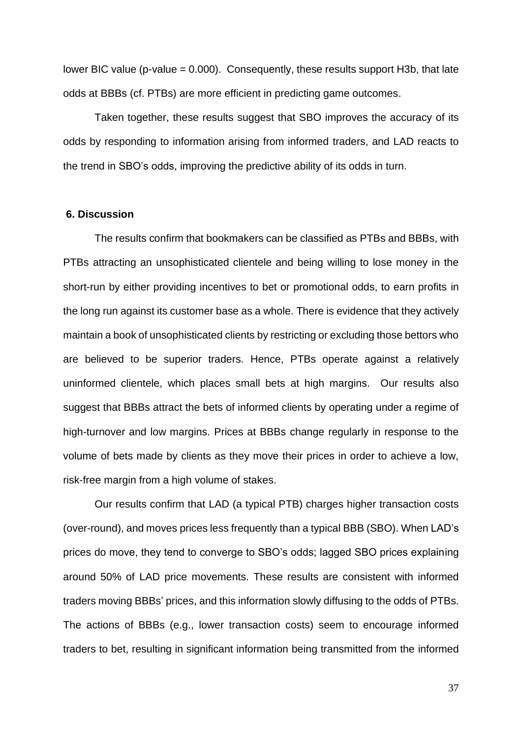lower BIC value (p-value  $= 0.000$ ). Consequently, these results support H3b, that late odds at BBBs (cf. PTBs) are more efficient in predicting game outcomes.

Taken together, these results suggest that SBO improves the accuracy of its odds by responding to information arising from informed traders, and LAD reacts to the trend in SBO's odds, improving the predictive ability of its odds in turn.

#### **6. Discussion**

The results confirm that bookmakers can be classified as PTBs and BBBs, with PTBs attracting an unsophisticated clientele and being willing to lose money in the short-run by either providing incentives to bet or promotional odds, to earn profits in the long run against its customer base as a whole. There is evidence that they actively maintain a book of unsophisticated clients by restricting or excluding those bettors who are believed to be superior traders. Hence, PTBs operate against a relatively uninformed clientele, which places small bets at high margins. Our results also suggest that BBBs attract the bets of informed clients by operating under a regime of high-turnover and low margins. Prices at BBBs change regularly in response to the volume of bets made by clients as they move their prices in order to achieve a low, risk-free margin from a high volume of stakes.

Our results confirm that LAD (a typical PTB) charges higher transaction costs (over-round), and moves prices less frequently than a typical BBB (SBO). When LAD's prices do move, they tend to converge to SBO's odds; lagged SBO prices explaining around 50% of LAD price movements. These results are consistent with informed traders moving BBBs' prices, and this information slowly diffusing to the odds of PTBs. The actions of BBBs (e.g., lower transaction costs) seem to encourage informed traders to bet, resulting in significant information being transmitted from the informed

37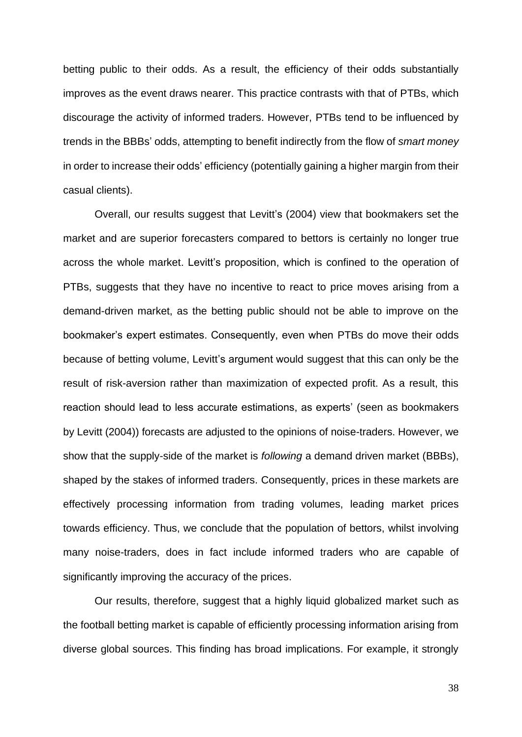betting public to their odds. As a result, the efficiency of their odds substantially improves as the event draws nearer. This practice contrasts with that of PTBs, which discourage the activity of informed traders. However, PTBs tend to be influenced by trends in the BBBs' odds, attempting to benefit indirectly from the flow of *smart money* in order to increase their odds' efficiency (potentially gaining a higher margin from their casual clients).

Overall, our results suggest that Levitt's (2004) view that bookmakers set the market and are superior forecasters compared to bettors is certainly no longer true across the whole market. Levitt's proposition, which is confined to the operation of PTBs, suggests that they have no incentive to react to price moves arising from a demand-driven market, as the betting public should not be able to improve on the bookmaker's expert estimates. Consequently, even when PTBs do move their odds because of betting volume, Levitt's argument would suggest that this can only be the result of risk-aversion rather than maximization of expected profit. As a result, this reaction should lead to less accurate estimations, as experts' (seen as bookmakers by Levitt (2004)) forecasts are adjusted to the opinions of noise-traders. However, we show that the supply-side of the market is *following* a demand driven market (BBBs), shaped by the stakes of informed traders. Consequently, prices in these markets are effectively processing information from trading volumes, leading market prices towards efficiency. Thus, we conclude that the population of bettors, whilst involving many noise-traders, does in fact include informed traders who are capable of significantly improving the accuracy of the prices.

Our results, therefore, suggest that a highly liquid globalized market such as the football betting market is capable of efficiently processing information arising from diverse global sources. This finding has broad implications. For example, it strongly

38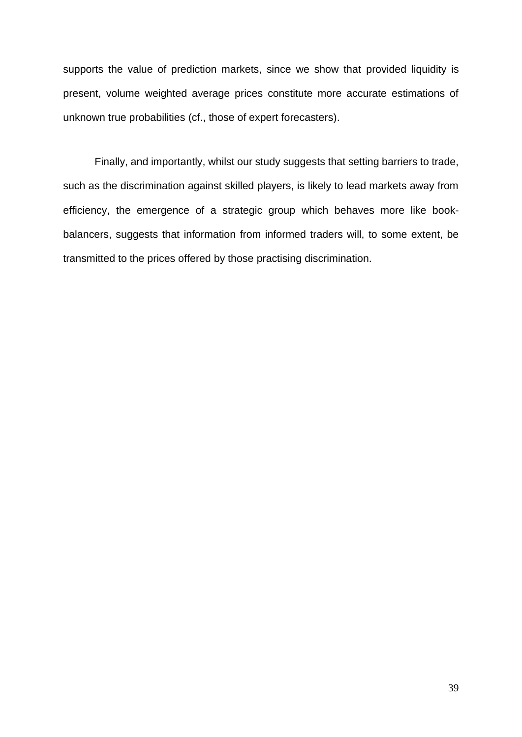supports the value of prediction markets, since we show that provided liquidity is present, volume weighted average prices constitute more accurate estimations of unknown true probabilities (cf., those of expert forecasters).

Finally, and importantly, whilst our study suggests that setting barriers to trade, such as the discrimination against skilled players, is likely to lead markets away from efficiency, the emergence of a strategic group which behaves more like bookbalancers, suggests that information from informed traders will, to some extent, be transmitted to the prices offered by those practising discrimination.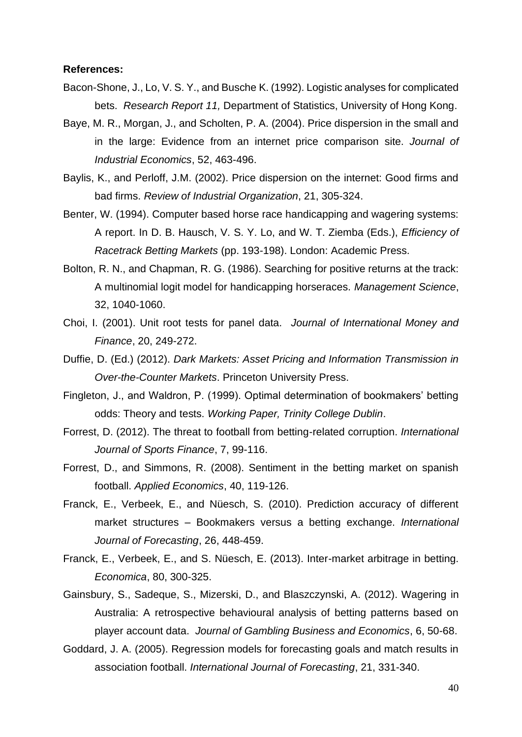#### **References:**

- Bacon-Shone, J., Lo, V. S. Y., and Busche K. (1992). Logistic analyses for complicated bets. *Research Report 11,* Department of Statistics, University of Hong Kong.
- Baye, M. R., Morgan, J., and Scholten, P. A. (2004). Price dispersion in the small and in the large: Evidence from an internet price comparison site. *Journal of Industrial Economics*, 52, 463-496.
- Baylis, K., and Perloff, J.M. (2002). Price dispersion on the internet: Good firms and bad firms. *Review of Industrial Organization*, 21, 305-324.
- Benter, W. (1994). Computer based horse race handicapping and wagering systems: A report. In D. B. Hausch, V. S. Y. Lo, and W. T. Ziemba (Eds.), *Efficiency of Racetrack Betting Markets* (pp. 193-198). London: Academic Press.
- Bolton, R. N., and Chapman, R. G. (1986). Searching for positive returns at the track: A multinomial logit model for handicapping horseraces. *Management Science*, 32, 1040-1060.
- Choi, I. (2001). Unit root tests for panel data. *Journal of International Money and Finance*, 20, 249-272.
- Duffie, D. (Ed.) (2012). *Dark Markets: Asset Pricing and Information Transmission in Over-the-Counter Markets*. Princeton University Press.
- Fingleton, J., and Waldron, P. (1999). Optimal determination of bookmakers' betting odds: Theory and tests. *Working Paper, Trinity College Dublin*.
- Forrest, D. (2012). The threat to football from betting-related corruption. *International Journal of Sports Finance*, 7, 99-116.
- Forrest, D., and Simmons, R. (2008). Sentiment in the betting market on spanish football. *Applied Economics*, 40, 119-126.
- Franck, E., Verbeek, E., and Nüesch, S. (2010). Prediction accuracy of different market structures – Bookmakers versus a betting exchange. *International Journal of Forecasting*, 26, 448-459.
- Franck, E., Verbeek, E., and S. Nüesch, E. (2013). Inter-market arbitrage in betting. *Economica*, 80, 300-325.
- Gainsbury, S., Sadeque, S., Mizerski, D., and Blaszczynski, A. (2012). Wagering in Australia: A retrospective behavioural analysis of betting patterns based on player account data. *Journal of Gambling Business and Economics*, 6, 50-68.
- Goddard, J. A. (2005). Regression models for forecasting goals and match results in association football. *International Journal of Forecasting*, 21, 331-340.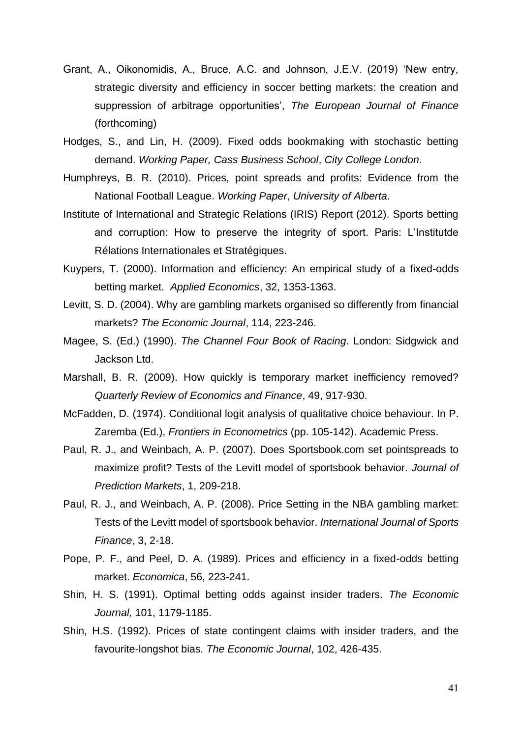- Grant, A., Oikonomidis, A., Bruce, A.C. and Johnson, J.E.V. (2019) 'New entry, strategic diversity and efficiency in soccer betting markets: the creation and suppression of arbitrage opportunities', *The European Journal of Finance*  (forthcoming)
- Hodges, S., and Lin, H. (2009). Fixed odds bookmaking with stochastic betting demand. *Working Paper, Cass Business School*, *City College London*.
- Humphreys, B. R. (2010). Prices, point spreads and profits: Evidence from the National Football League. *Working Paper*, *University of Alberta*.
- Institute of International and Strategic Relations (IRIS) Report (2012). Sports betting and corruption: How to preserve the integrity of sport. Paris: L'Institutde Rélations Internationales et Stratégiques.
- Kuypers, T. (2000). Information and efficiency: An empirical study of a fixed-odds betting market. *Applied Economics*, 32, 1353-1363.
- Levitt, S. D. (2004). Why are gambling markets organised so differently from financial markets? *The Economic Journal*, 114, 223-246.
- Magee, S. (Ed.) (1990). *The Channel Four Book of Racing*. London: Sidgwick and Jackson Ltd.
- Marshall, B. R. (2009). How quickly is temporary market inefficiency removed? *Quarterly Review of Economics and Finance*, 49, 917-930.
- McFadden, D. (1974). Conditional logit analysis of qualitative choice behaviour. In P. Zaremba (Ed.), *Frontiers in Econometrics* (pp. 105-142). Academic Press.
- Paul, R. J., and Weinbach, A. P. (2007). Does Sportsbook.com set pointspreads to maximize profit? Tests of the Levitt model of sportsbook behavior. *Journal of Prediction Markets*, 1, 209-218.
- Paul, R. J., and Weinbach, A. P. (2008). Price Setting in the NBA gambling market: Tests of the Levitt model of sportsbook behavior. *International Journal of Sports Finance*, 3, 2-18.
- Pope, P. F., and Peel, D. A. (1989). Prices and efficiency in a fixed-odds betting market. *Economica*, 56, 223-241.
- Shin, H. S. (1991). Optimal betting odds against insider traders. *The Economic Journal,* 101, 1179-1185.
- Shin, H.S. (1992). Prices of state contingent claims with insider traders, and the favourite-longshot bias. *The Economic Journal*, 102, 426-435.